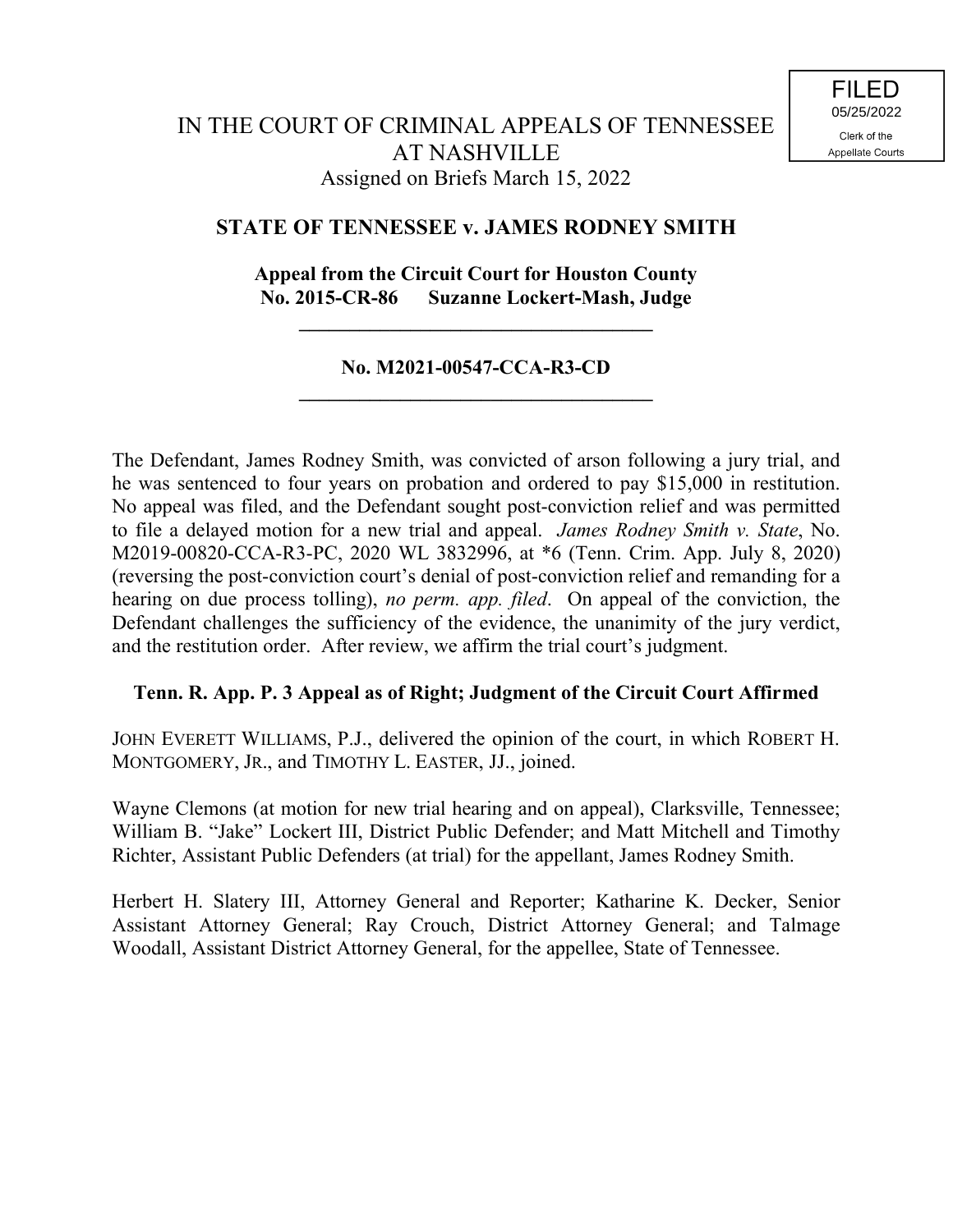# **STATE OF TENNESSEE v. JAMES RODNEY SMITH**

# **Appeal from the Circuit Court for Houston County No. 2015-CR-86 Suzanne Lockert-Mash, Judge**

**\_\_\_\_\_\_\_\_\_\_\_\_\_\_\_\_\_\_\_\_\_\_\_\_\_\_\_\_\_\_\_\_\_\_\_**

### **No. M2021-00547-CCA-R3-CD \_\_\_\_\_\_\_\_\_\_\_\_\_\_\_\_\_\_\_\_\_\_\_\_\_\_\_\_\_\_\_\_\_\_\_**

The Defendant, James Rodney Smith, was convicted of arson following a jury trial, and he was sentenced to four years on probation and ordered to pay \$15,000 in restitution. No appeal was filed, and the Defendant sought post-conviction relief and was permitted to file a delayed motion for a new trial and appeal. *James Rodney Smith v. State*, No. M2019-00820-CCA-R3-PC, 2020 WL 3832996, at \*6 (Tenn. Crim. App. July 8, 2020) (reversing the post-conviction court's denial of post-conviction relief and remanding for a hearing on due process tolling), *no perm. app. filed*. On appeal of the conviction, the Defendant challenges the sufficiency of the evidence, the unanimity of the jury verdict, and the restitution order. After review, we affirm the trial court's judgment.

# **Tenn. R. App. P. 3 Appeal as of Right; Judgment of the Circuit Court Affirmed**

JOHN EVERETT WILLIAMS, P.J., delivered the opinion of the court, in which ROBERT H. MONTGOMERY, JR., and TIMOTHY L. EASTER, JJ., joined.

Wayne Clemons (at motion for new trial hearing and on appeal), Clarksville, Tennessee; William B. "Jake" Lockert III, District Public Defender; and Matt Mitchell and Timothy Richter, Assistant Public Defenders (at trial) for the appellant, James Rodney Smith.

Herbert H. Slatery III, Attorney General and Reporter; Katharine K. Decker, Senior Assistant Attorney General; Ray Crouch, District Attorney General; and Talmage Woodall, Assistant District Attorney General, for the appellee, State of Tennessee.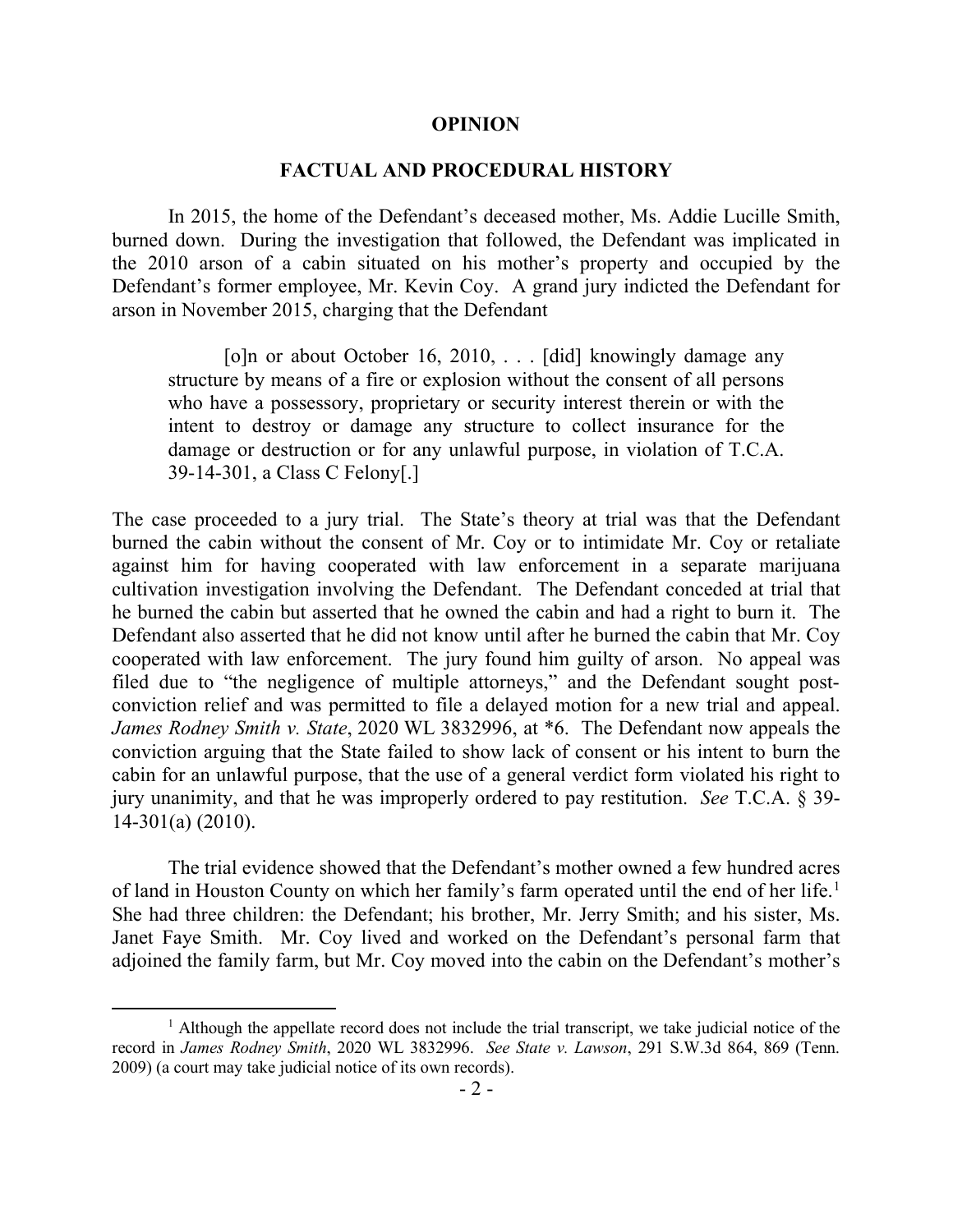### **OPINION**

### **FACTUAL AND PROCEDURAL HISTORY**

In 2015, the home of the Defendant's deceased mother, Ms. Addie Lucille Smith, burned down. During the investigation that followed, the Defendant was implicated in the 2010 arson of a cabin situated on his mother's property and occupied by the Defendant's former employee, Mr. Kevin Coy. A grand jury indicted the Defendant for arson in November 2015, charging that the Defendant

[o]n or about October 16, 2010, . . . [did] knowingly damage any structure by means of a fire or explosion without the consent of all persons who have a possessory, proprietary or security interest therein or with the intent to destroy or damage any structure to collect insurance for the damage or destruction or for any unlawful purpose, in violation of T.C.A. 39-14-301, a Class C Felony[.]

The case proceeded to a jury trial. The State's theory at trial was that the Defendant burned the cabin without the consent of Mr. Coy or to intimidate Mr. Coy or retaliate against him for having cooperated with law enforcement in a separate marijuana cultivation investigation involving the Defendant. The Defendant conceded at trial that he burned the cabin but asserted that he owned the cabin and had a right to burn it. The Defendant also asserted that he did not know until after he burned the cabin that Mr. Coy cooperated with law enforcement. The jury found him guilty of arson. No appeal was filed due to "the negligence of multiple attorneys," and the Defendant sought postconviction relief and was permitted to file a delayed motion for a new trial and appeal. *James Rodney Smith v. State*, 2020 WL 3832996, at \*6. The Defendant now appeals the conviction arguing that the State failed to show lack of consent or his intent to burn the cabin for an unlawful purpose, that the use of a general verdict form violated his right to jury unanimity, and that he was improperly ordered to pay restitution. *See* T.C.A. § 39- 14-301(a) (2010).

The trial evidence showed that the Defendant's mother owned a few hundred acres of land in Houston County on which her family's farm operated until the end of her life.<sup>1</sup> She had three children: the Defendant; his brother, Mr. Jerry Smith; and his sister, Ms. Janet Faye Smith. Mr. Coy lived and worked on the Defendant's personal farm that adjoined the family farm, but Mr. Coy moved into the cabin on the Defendant's mother's

 $\overline{a}$ 

<sup>&</sup>lt;sup>1</sup> Although the appellate record does not include the trial transcript, we take judicial notice of the record in *James Rodney Smith*, 2020 WL 3832996. *See State v. Lawson*, 291 S.W.3d 864, 869 (Tenn. 2009) (a court may take judicial notice of its own records).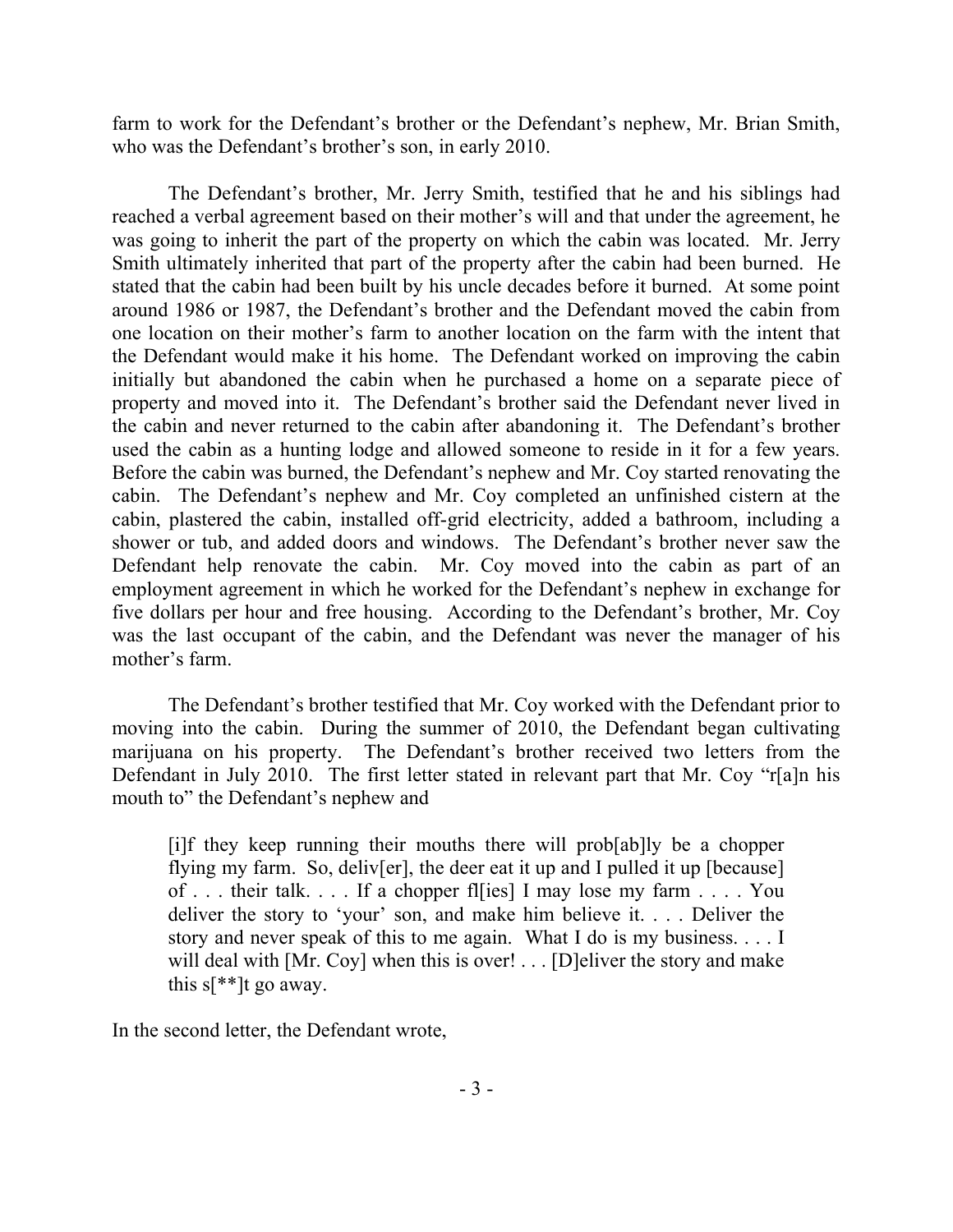farm to work for the Defendant's brother or the Defendant's nephew, Mr. Brian Smith, who was the Defendant's brother's son, in early 2010.

The Defendant's brother, Mr. Jerry Smith, testified that he and his siblings had reached a verbal agreement based on their mother's will and that under the agreement, he was going to inherit the part of the property on which the cabin was located. Mr. Jerry Smith ultimately inherited that part of the property after the cabin had been burned. He stated that the cabin had been built by his uncle decades before it burned. At some point around 1986 or 1987, the Defendant's brother and the Defendant moved the cabin from one location on their mother's farm to another location on the farm with the intent that the Defendant would make it his home. The Defendant worked on improving the cabin initially but abandoned the cabin when he purchased a home on a separate piece of property and moved into it. The Defendant's brother said the Defendant never lived in the cabin and never returned to the cabin after abandoning it. The Defendant's brother used the cabin as a hunting lodge and allowed someone to reside in it for a few years. Before the cabin was burned, the Defendant's nephew and Mr. Coy started renovating the cabin. The Defendant's nephew and Mr. Coy completed an unfinished cistern at the cabin, plastered the cabin, installed off-grid electricity, added a bathroom, including a shower or tub, and added doors and windows. The Defendant's brother never saw the Defendant help renovate the cabin. Mr. Coy moved into the cabin as part of an employment agreement in which he worked for the Defendant's nephew in exchange for five dollars per hour and free housing. According to the Defendant's brother, Mr. Coy was the last occupant of the cabin, and the Defendant was never the manager of his mother's farm.

The Defendant's brother testified that Mr. Coy worked with the Defendant prior to moving into the cabin. During the summer of 2010, the Defendant began cultivating marijuana on his property. The Defendant's brother received two letters from the Defendant in July 2010. The first letter stated in relevant part that Mr. Coy "r[a]n his mouth to" the Defendant's nephew and

[i]f they keep running their mouths there will prob[ab]ly be a chopper flying my farm. So, deliv[er], the deer eat it up and I pulled it up [because] of . . . their talk. . . . If a chopper fl[ies] I may lose my farm . . . . You deliver the story to 'your' son, and make him believe it. . . . Deliver the story and never speak of this to me again. What I do is my business. . . . I will deal with [Mr. Coy] when this is over! . . . [D]eliver the story and make this  $s$ [\*\*]t go away.

In the second letter, the Defendant wrote,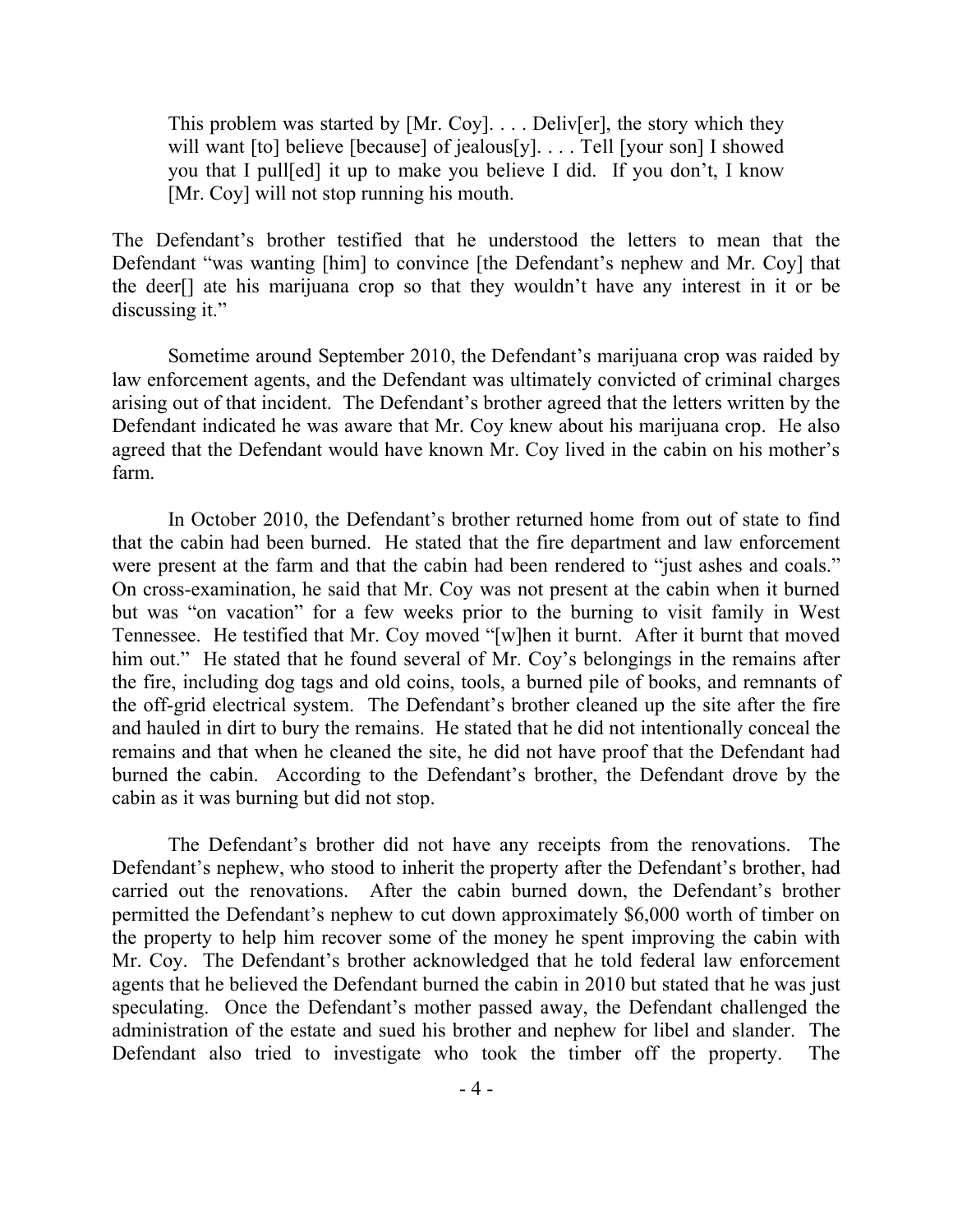This problem was started by [Mr. Coy]. . . . Deliv[er], the story which they will want [to] believe [because] of jealous[y]. . . . Tell [your son] I showed you that I pull[ed] it up to make you believe I did. If you don't, I know [Mr. Coy] will not stop running his mouth.

The Defendant's brother testified that he understood the letters to mean that the Defendant "was wanting [him] to convince [the Defendant's nephew and Mr. Coy] that the deer[] ate his marijuana crop so that they wouldn't have any interest in it or be discussing it."

Sometime around September 2010, the Defendant's marijuana crop was raided by law enforcement agents, and the Defendant was ultimately convicted of criminal charges arising out of that incident. The Defendant's brother agreed that the letters written by the Defendant indicated he was aware that Mr. Coy knew about his marijuana crop. He also agreed that the Defendant would have known Mr. Coy lived in the cabin on his mother's farm.

In October 2010, the Defendant's brother returned home from out of state to find that the cabin had been burned. He stated that the fire department and law enforcement were present at the farm and that the cabin had been rendered to "just ashes and coals." On cross-examination, he said that Mr. Coy was not present at the cabin when it burned but was "on vacation" for a few weeks prior to the burning to visit family in West Tennessee. He testified that Mr. Coy moved "[w]hen it burnt. After it burnt that moved him out." He stated that he found several of Mr. Coy's belongings in the remains after the fire, including dog tags and old coins, tools, a burned pile of books, and remnants of the off-grid electrical system. The Defendant's brother cleaned up the site after the fire and hauled in dirt to bury the remains. He stated that he did not intentionally conceal the remains and that when he cleaned the site, he did not have proof that the Defendant had burned the cabin. According to the Defendant's brother, the Defendant drove by the cabin as it was burning but did not stop.

The Defendant's brother did not have any receipts from the renovations. The Defendant's nephew, who stood to inherit the property after the Defendant's brother, had carried out the renovations. After the cabin burned down, the Defendant's brother permitted the Defendant's nephew to cut down approximately \$6,000 worth of timber on the property to help him recover some of the money he spent improving the cabin with Mr. Coy. The Defendant's brother acknowledged that he told federal law enforcement agents that he believed the Defendant burned the cabin in 2010 but stated that he was just speculating. Once the Defendant's mother passed away, the Defendant challenged the administration of the estate and sued his brother and nephew for libel and slander. The Defendant also tried to investigate who took the timber off the property. The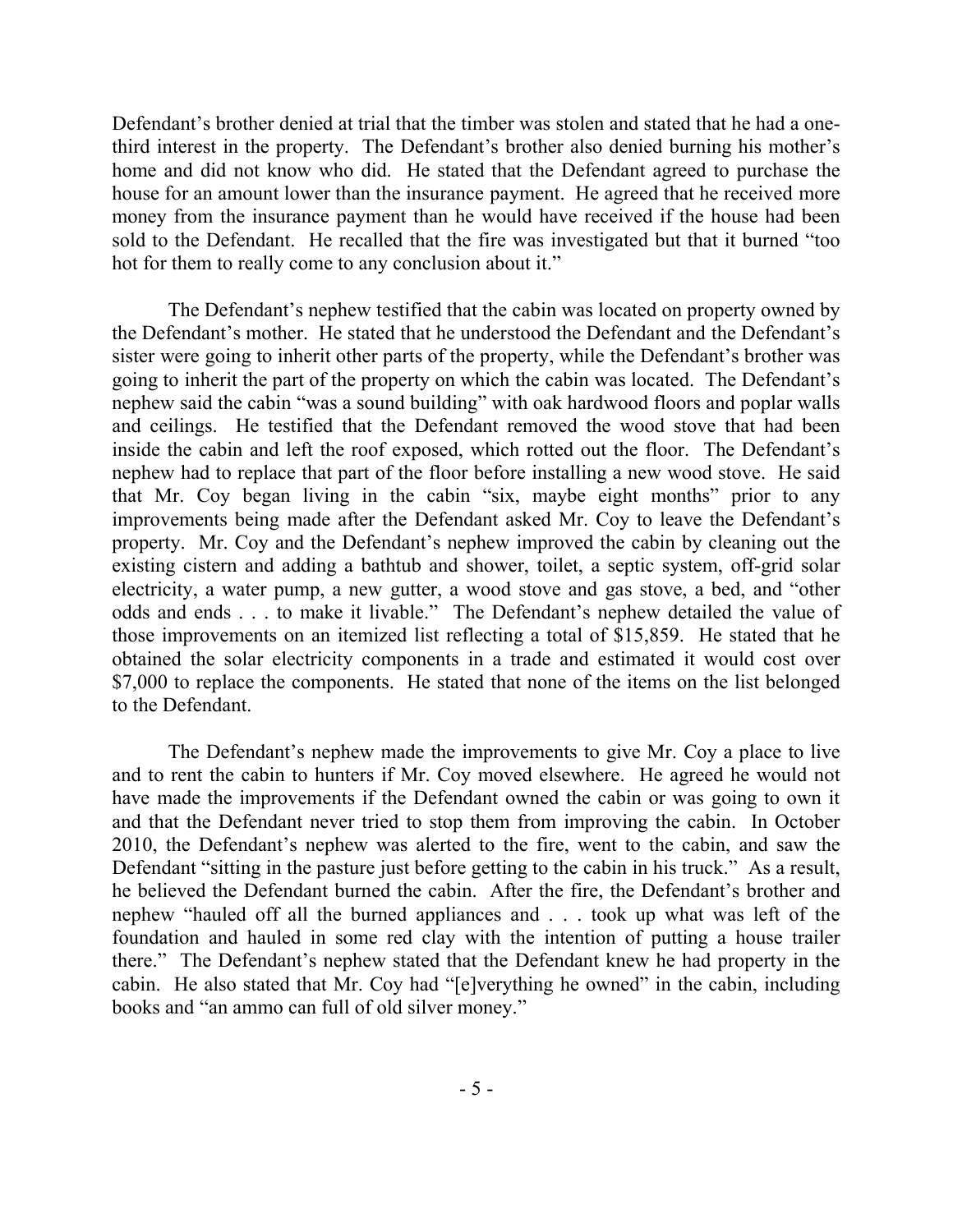Defendant's brother denied at trial that the timber was stolen and stated that he had a onethird interest in the property. The Defendant's brother also denied burning his mother's home and did not know who did. He stated that the Defendant agreed to purchase the house for an amount lower than the insurance payment. He agreed that he received more money from the insurance payment than he would have received if the house had been sold to the Defendant. He recalled that the fire was investigated but that it burned "too hot for them to really come to any conclusion about it."

The Defendant's nephew testified that the cabin was located on property owned by the Defendant's mother. He stated that he understood the Defendant and the Defendant's sister were going to inherit other parts of the property, while the Defendant's brother was going to inherit the part of the property on which the cabin was located. The Defendant's nephew said the cabin "was a sound building" with oak hardwood floors and poplar walls and ceilings. He testified that the Defendant removed the wood stove that had been inside the cabin and left the roof exposed, which rotted out the floor. The Defendant's nephew had to replace that part of the floor before installing a new wood stove. He said that Mr. Coy began living in the cabin "six, maybe eight months" prior to any improvements being made after the Defendant asked Mr. Coy to leave the Defendant's property. Mr. Coy and the Defendant's nephew improved the cabin by cleaning out the existing cistern and adding a bathtub and shower, toilet, a septic system, off-grid solar electricity, a water pump, a new gutter, a wood stove and gas stove, a bed, and "other odds and ends . . . to make it livable." The Defendant's nephew detailed the value of those improvements on an itemized list reflecting a total of \$15,859. He stated that he obtained the solar electricity components in a trade and estimated it would cost over \$7,000 to replace the components. He stated that none of the items on the list belonged to the Defendant.

The Defendant's nephew made the improvements to give Mr. Coy a place to live and to rent the cabin to hunters if Mr. Coy moved elsewhere. He agreed he would not have made the improvements if the Defendant owned the cabin or was going to own it and that the Defendant never tried to stop them from improving the cabin. In October 2010, the Defendant's nephew was alerted to the fire, went to the cabin, and saw the Defendant "sitting in the pasture just before getting to the cabin in his truck." As a result, he believed the Defendant burned the cabin. After the fire, the Defendant's brother and nephew "hauled off all the burned appliances and . . . took up what was left of the foundation and hauled in some red clay with the intention of putting a house trailer there." The Defendant's nephew stated that the Defendant knew he had property in the cabin. He also stated that Mr. Coy had "[e]verything he owned" in the cabin, including books and "an ammo can full of old silver money."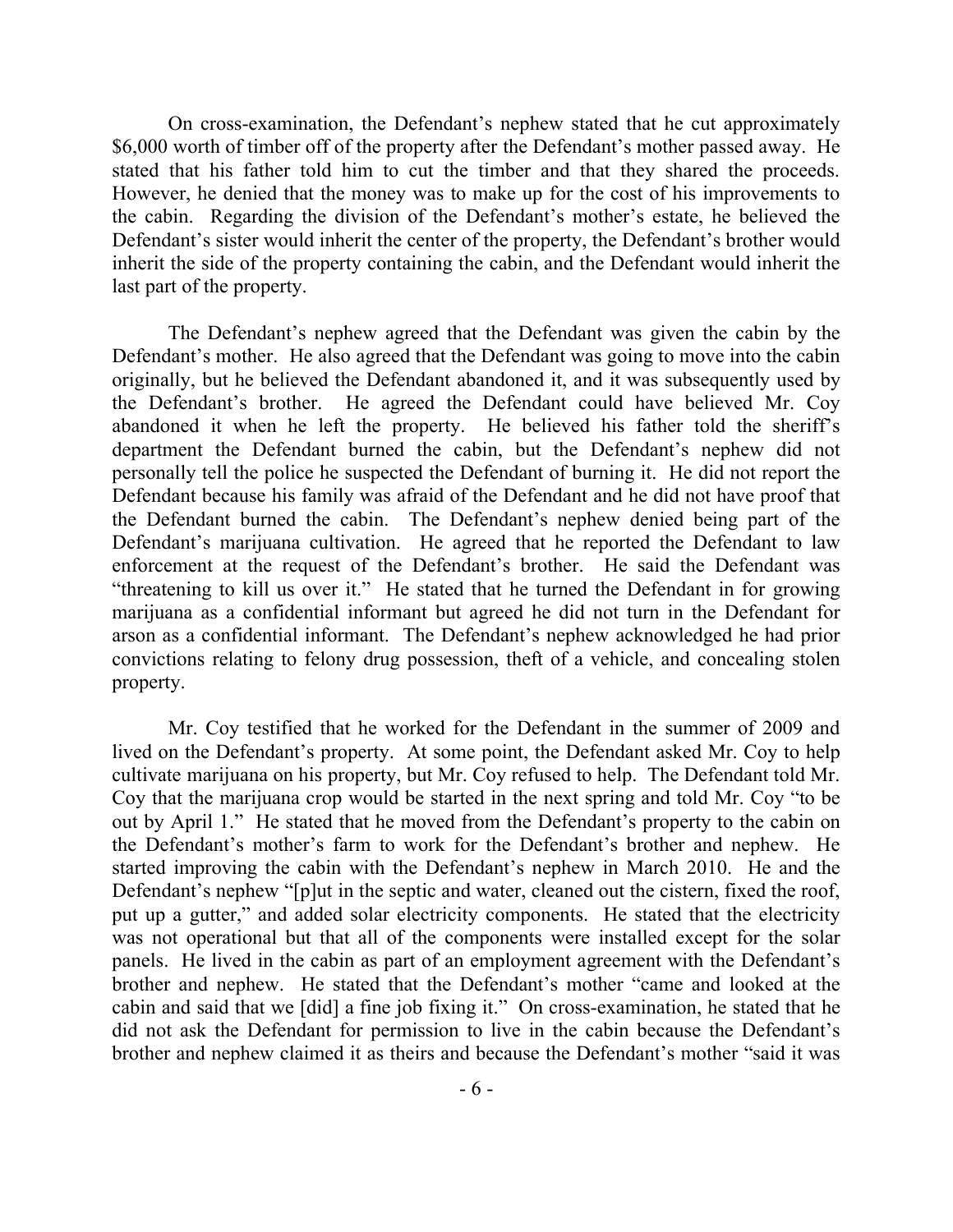On cross-examination, the Defendant's nephew stated that he cut approximately \$6,000 worth of timber off of the property after the Defendant's mother passed away. He stated that his father told him to cut the timber and that they shared the proceeds. However, he denied that the money was to make up for the cost of his improvements to the cabin. Regarding the division of the Defendant's mother's estate, he believed the Defendant's sister would inherit the center of the property, the Defendant's brother would inherit the side of the property containing the cabin, and the Defendant would inherit the last part of the property.

The Defendant's nephew agreed that the Defendant was given the cabin by the Defendant's mother. He also agreed that the Defendant was going to move into the cabin originally, but he believed the Defendant abandoned it, and it was subsequently used by the Defendant's brother. He agreed the Defendant could have believed Mr. Coy abandoned it when he left the property. He believed his father told the sheriff's department the Defendant burned the cabin, but the Defendant's nephew did not personally tell the police he suspected the Defendant of burning it. He did not report the Defendant because his family was afraid of the Defendant and he did not have proof that the Defendant burned the cabin. The Defendant's nephew denied being part of the Defendant's marijuana cultivation. He agreed that he reported the Defendant to law enforcement at the request of the Defendant's brother. He said the Defendant was "threatening to kill us over it." He stated that he turned the Defendant in for growing marijuana as a confidential informant but agreed he did not turn in the Defendant for arson as a confidential informant. The Defendant's nephew acknowledged he had prior convictions relating to felony drug possession, theft of a vehicle, and concealing stolen property.

Mr. Coy testified that he worked for the Defendant in the summer of 2009 and lived on the Defendant's property. At some point, the Defendant asked Mr. Coy to help cultivate marijuana on his property, but Mr. Coy refused to help. The Defendant told Mr. Coy that the marijuana crop would be started in the next spring and told Mr. Coy "to be out by April 1." He stated that he moved from the Defendant's property to the cabin on the Defendant's mother's farm to work for the Defendant's brother and nephew. He started improving the cabin with the Defendant's nephew in March 2010. He and the Defendant's nephew "[p]ut in the septic and water, cleaned out the cistern, fixed the roof, put up a gutter," and added solar electricity components. He stated that the electricity was not operational but that all of the components were installed except for the solar panels. He lived in the cabin as part of an employment agreement with the Defendant's brother and nephew. He stated that the Defendant's mother "came and looked at the cabin and said that we [did] a fine job fixing it." On cross-examination, he stated that he did not ask the Defendant for permission to live in the cabin because the Defendant's brother and nephew claimed it as theirs and because the Defendant's mother "said it was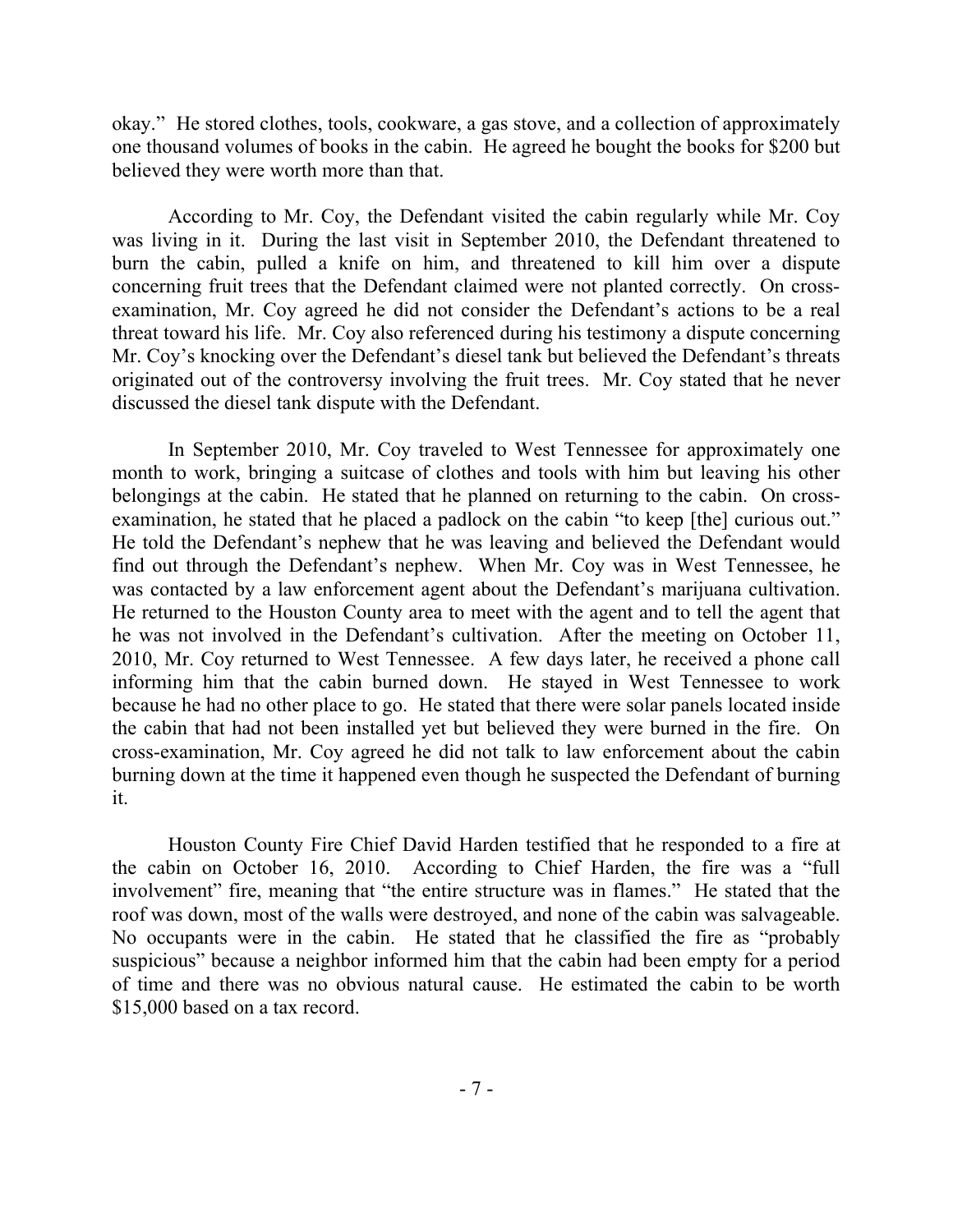okay." He stored clothes, tools, cookware, a gas stove, and a collection of approximately one thousand volumes of books in the cabin. He agreed he bought the books for \$200 but believed they were worth more than that.

According to Mr. Coy, the Defendant visited the cabin regularly while Mr. Coy was living in it. During the last visit in September 2010, the Defendant threatened to burn the cabin, pulled a knife on him, and threatened to kill him over a dispute concerning fruit trees that the Defendant claimed were not planted correctly. On crossexamination, Mr. Coy agreed he did not consider the Defendant's actions to be a real threat toward his life. Mr. Coy also referenced during his testimony a dispute concerning Mr. Coy's knocking over the Defendant's diesel tank but believed the Defendant's threats originated out of the controversy involving the fruit trees. Mr. Coy stated that he never discussed the diesel tank dispute with the Defendant.

In September 2010, Mr. Coy traveled to West Tennessee for approximately one month to work, bringing a suitcase of clothes and tools with him but leaving his other belongings at the cabin. He stated that he planned on returning to the cabin. On crossexamination, he stated that he placed a padlock on the cabin "to keep [the] curious out." He told the Defendant's nephew that he was leaving and believed the Defendant would find out through the Defendant's nephew. When Mr. Coy was in West Tennessee, he was contacted by a law enforcement agent about the Defendant's marijuana cultivation. He returned to the Houston County area to meet with the agent and to tell the agent that he was not involved in the Defendant's cultivation. After the meeting on October 11, 2010, Mr. Coy returned to West Tennessee. A few days later, he received a phone call informing him that the cabin burned down. He stayed in West Tennessee to work because he had no other place to go. He stated that there were solar panels located inside the cabin that had not been installed yet but believed they were burned in the fire. On cross-examination, Mr. Coy agreed he did not talk to law enforcement about the cabin burning down at the time it happened even though he suspected the Defendant of burning it.

Houston County Fire Chief David Harden testified that he responded to a fire at the cabin on October 16, 2010. According to Chief Harden, the fire was a "full involvement" fire, meaning that "the entire structure was in flames." He stated that the roof was down, most of the walls were destroyed, and none of the cabin was salvageable. No occupants were in the cabin. He stated that he classified the fire as "probably suspicious" because a neighbor informed him that the cabin had been empty for a period of time and there was no obvious natural cause. He estimated the cabin to be worth \$15,000 based on a tax record.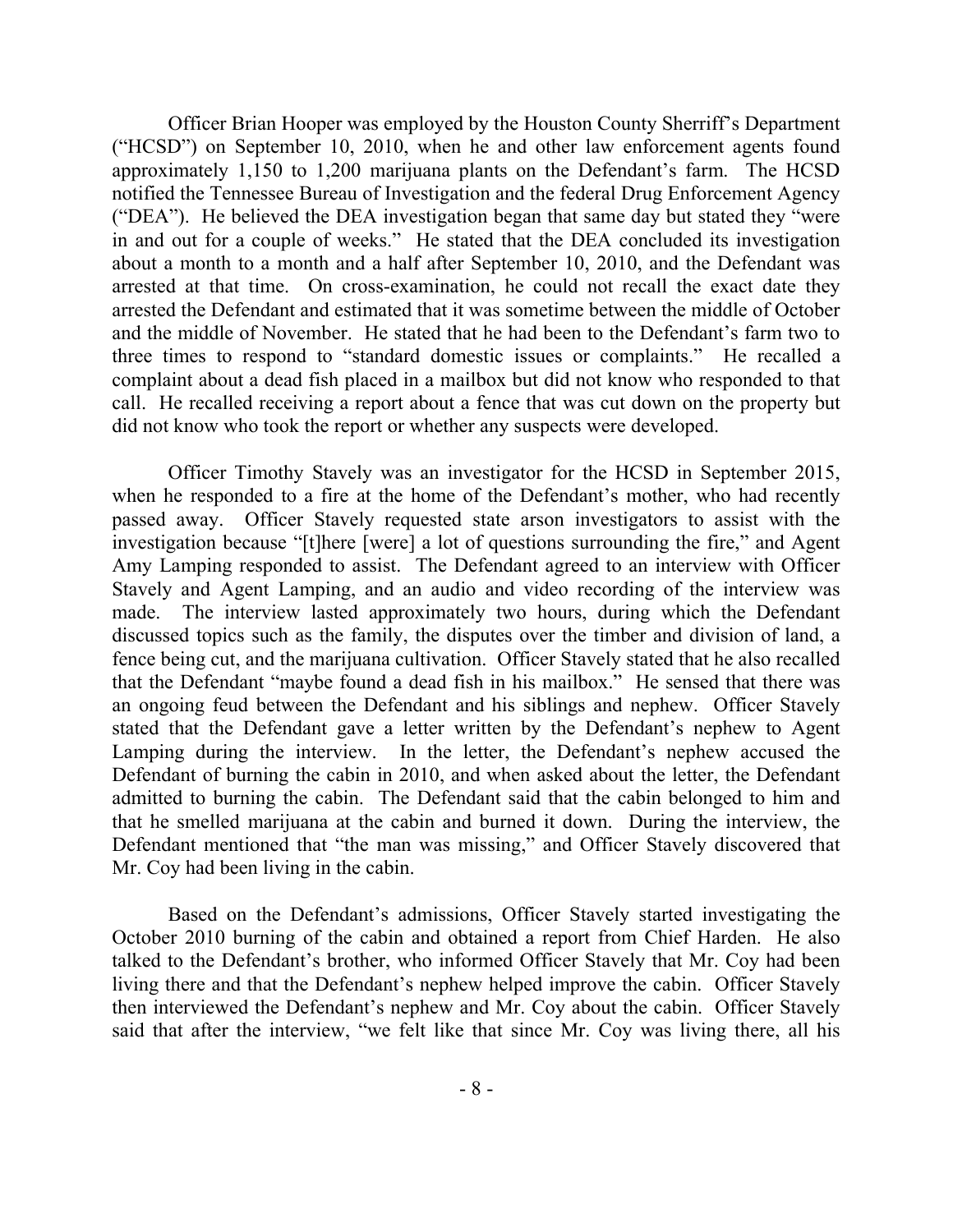Officer Brian Hooper was employed by the Houston County Sherriff's Department ("HCSD") on September 10, 2010, when he and other law enforcement agents found approximately 1,150 to 1,200 marijuana plants on the Defendant's farm. The HCSD notified the Tennessee Bureau of Investigation and the federal Drug Enforcement Agency ("DEA"). He believed the DEA investigation began that same day but stated they "were in and out for a couple of weeks." He stated that the DEA concluded its investigation about a month to a month and a half after September 10, 2010, and the Defendant was arrested at that time. On cross-examination, he could not recall the exact date they arrested the Defendant and estimated that it was sometime between the middle of October and the middle of November. He stated that he had been to the Defendant's farm two to three times to respond to "standard domestic issues or complaints." He recalled a complaint about a dead fish placed in a mailbox but did not know who responded to that call. He recalled receiving a report about a fence that was cut down on the property but did not know who took the report or whether any suspects were developed.

Officer Timothy Stavely was an investigator for the HCSD in September 2015, when he responded to a fire at the home of the Defendant's mother, who had recently passed away. Officer Stavely requested state arson investigators to assist with the investigation because "[t]here [were] a lot of questions surrounding the fire," and Agent Amy Lamping responded to assist. The Defendant agreed to an interview with Officer Stavely and Agent Lamping, and an audio and video recording of the interview was made. The interview lasted approximately two hours, during which the Defendant discussed topics such as the family, the disputes over the timber and division of land, a fence being cut, and the marijuana cultivation. Officer Stavely stated that he also recalled that the Defendant "maybe found a dead fish in his mailbox." He sensed that there was an ongoing feud between the Defendant and his siblings and nephew. Officer Stavely stated that the Defendant gave a letter written by the Defendant's nephew to Agent Lamping during the interview. In the letter, the Defendant's nephew accused the Defendant of burning the cabin in 2010, and when asked about the letter, the Defendant admitted to burning the cabin. The Defendant said that the cabin belonged to him and that he smelled marijuana at the cabin and burned it down. During the interview, the Defendant mentioned that "the man was missing," and Officer Stavely discovered that Mr. Coy had been living in the cabin.

Based on the Defendant's admissions, Officer Stavely started investigating the October 2010 burning of the cabin and obtained a report from Chief Harden. He also talked to the Defendant's brother, who informed Officer Stavely that Mr. Coy had been living there and that the Defendant's nephew helped improve the cabin. Officer Stavely then interviewed the Defendant's nephew and Mr. Coy about the cabin. Officer Stavely said that after the interview, "we felt like that since Mr. Coy was living there, all his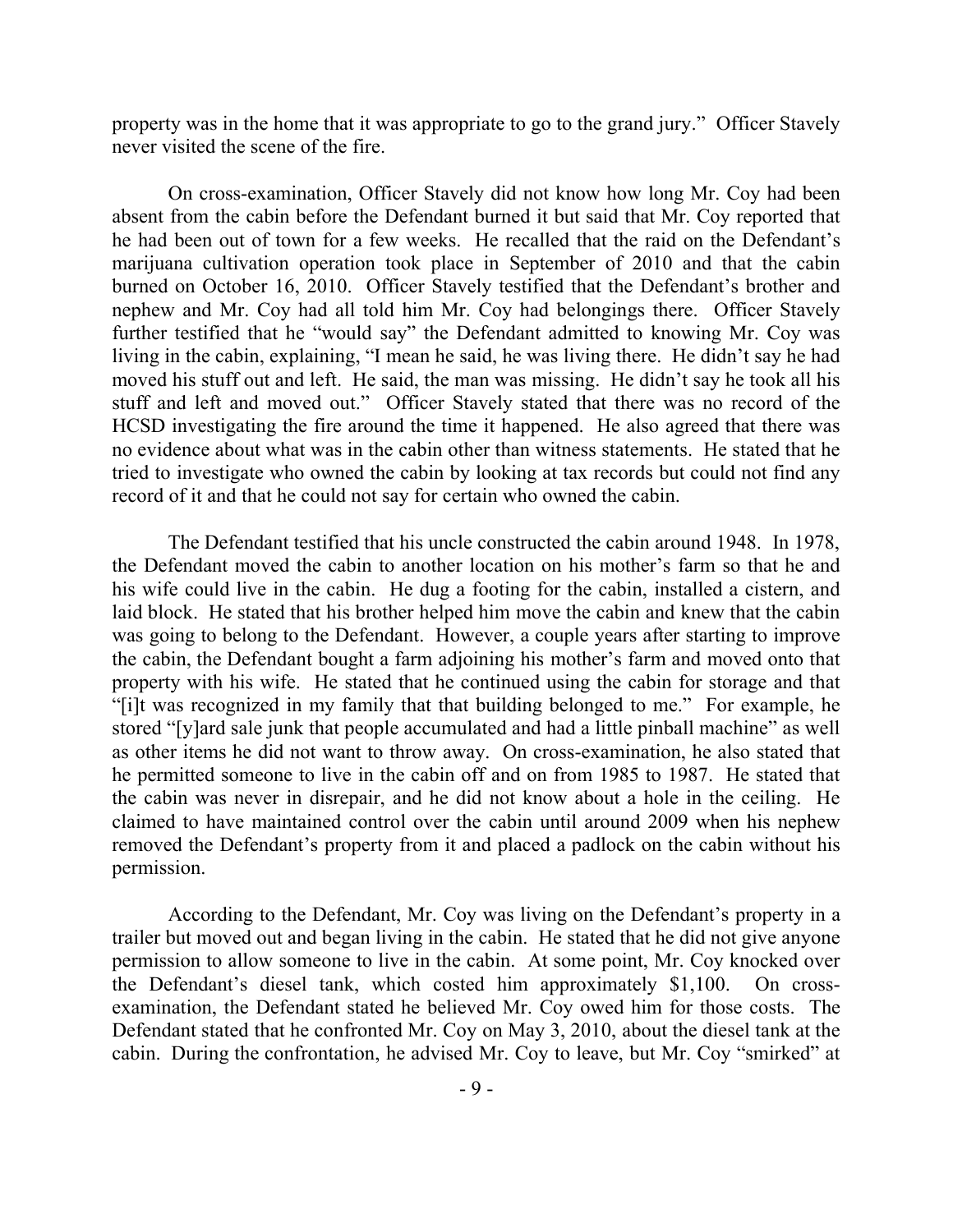property was in the home that it was appropriate to go to the grand jury." Officer Stavely never visited the scene of the fire.

On cross-examination, Officer Stavely did not know how long Mr. Coy had been absent from the cabin before the Defendant burned it but said that Mr. Coy reported that he had been out of town for a few weeks. He recalled that the raid on the Defendant's marijuana cultivation operation took place in September of 2010 and that the cabin burned on October 16, 2010. Officer Stavely testified that the Defendant's brother and nephew and Mr. Coy had all told him Mr. Coy had belongings there. Officer Stavely further testified that he "would say" the Defendant admitted to knowing Mr. Coy was living in the cabin, explaining, "I mean he said, he was living there. He didn't say he had moved his stuff out and left. He said, the man was missing. He didn't say he took all his stuff and left and moved out." Officer Stavely stated that there was no record of the HCSD investigating the fire around the time it happened. He also agreed that there was no evidence about what was in the cabin other than witness statements. He stated that he tried to investigate who owned the cabin by looking at tax records but could not find any record of it and that he could not say for certain who owned the cabin.

The Defendant testified that his uncle constructed the cabin around 1948. In 1978, the Defendant moved the cabin to another location on his mother's farm so that he and his wife could live in the cabin. He dug a footing for the cabin, installed a cistern, and laid block. He stated that his brother helped him move the cabin and knew that the cabin was going to belong to the Defendant. However, a couple years after starting to improve the cabin, the Defendant bought a farm adjoining his mother's farm and moved onto that property with his wife. He stated that he continued using the cabin for storage and that "[i]t was recognized in my family that that building belonged to me." For example, he stored "[y]ard sale junk that people accumulated and had a little pinball machine" as well as other items he did not want to throw away. On cross-examination, he also stated that he permitted someone to live in the cabin off and on from 1985 to 1987. He stated that the cabin was never in disrepair, and he did not know about a hole in the ceiling. He claimed to have maintained control over the cabin until around 2009 when his nephew removed the Defendant's property from it and placed a padlock on the cabin without his permission.

According to the Defendant, Mr. Coy was living on the Defendant's property in a trailer but moved out and began living in the cabin. He stated that he did not give anyone permission to allow someone to live in the cabin. At some point, Mr. Coy knocked over the Defendant's diesel tank, which costed him approximately \$1,100. On crossexamination, the Defendant stated he believed Mr. Coy owed him for those costs. The Defendant stated that he confronted Mr. Coy on May 3, 2010, about the diesel tank at the cabin. During the confrontation, he advised Mr. Coy to leave, but Mr. Coy "smirked" at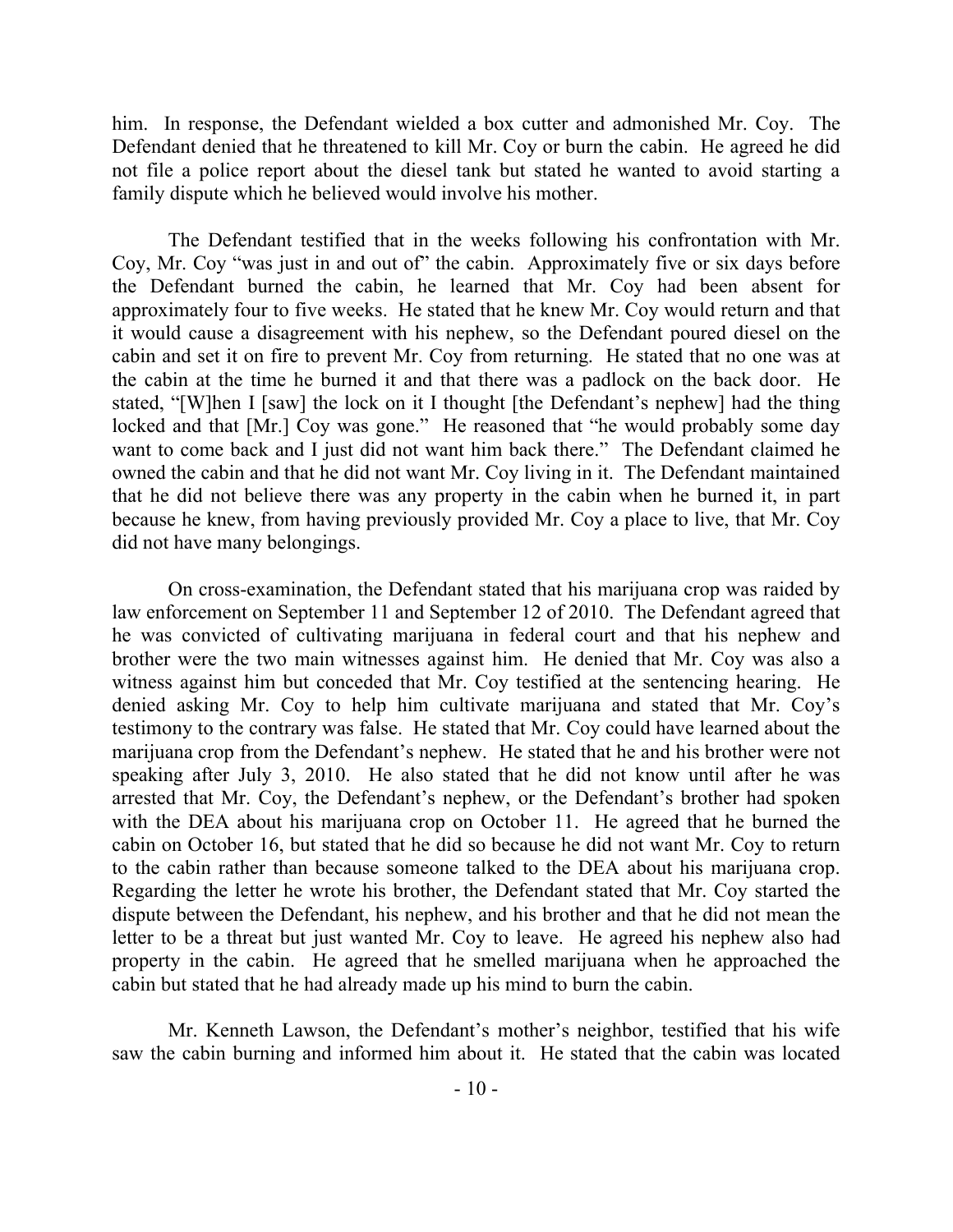him. In response, the Defendant wielded a box cutter and admonished Mr. Coy. The Defendant denied that he threatened to kill Mr. Coy or burn the cabin. He agreed he did not file a police report about the diesel tank but stated he wanted to avoid starting a family dispute which he believed would involve his mother.

The Defendant testified that in the weeks following his confrontation with Mr. Coy, Mr. Coy "was just in and out of" the cabin. Approximately five or six days before the Defendant burned the cabin, he learned that Mr. Coy had been absent for approximately four to five weeks. He stated that he knew Mr. Coy would return and that it would cause a disagreement with his nephew, so the Defendant poured diesel on the cabin and set it on fire to prevent Mr. Coy from returning. He stated that no one was at the cabin at the time he burned it and that there was a padlock on the back door. He stated, "[W]hen I [saw] the lock on it I thought [the Defendant's nephew] had the thing locked and that [Mr.] Coy was gone." He reasoned that "he would probably some day want to come back and I just did not want him back there." The Defendant claimed he owned the cabin and that he did not want Mr. Coy living in it. The Defendant maintained that he did not believe there was any property in the cabin when he burned it, in part because he knew, from having previously provided Mr. Coy a place to live, that Mr. Coy did not have many belongings.

On cross-examination, the Defendant stated that his marijuana crop was raided by law enforcement on September 11 and September 12 of 2010. The Defendant agreed that he was convicted of cultivating marijuana in federal court and that his nephew and brother were the two main witnesses against him. He denied that Mr. Coy was also a witness against him but conceded that Mr. Coy testified at the sentencing hearing. He denied asking Mr. Coy to help him cultivate marijuana and stated that Mr. Coy's testimony to the contrary was false. He stated that Mr. Coy could have learned about the marijuana crop from the Defendant's nephew. He stated that he and his brother were not speaking after July 3, 2010. He also stated that he did not know until after he was arrested that Mr. Coy, the Defendant's nephew, or the Defendant's brother had spoken with the DEA about his marijuana crop on October 11. He agreed that he burned the cabin on October 16, but stated that he did so because he did not want Mr. Coy to return to the cabin rather than because someone talked to the DEA about his marijuana crop. Regarding the letter he wrote his brother, the Defendant stated that Mr. Coy started the dispute between the Defendant, his nephew, and his brother and that he did not mean the letter to be a threat but just wanted Mr. Coy to leave. He agreed his nephew also had property in the cabin. He agreed that he smelled marijuana when he approached the cabin but stated that he had already made up his mind to burn the cabin.

Mr. Kenneth Lawson, the Defendant's mother's neighbor, testified that his wife saw the cabin burning and informed him about it. He stated that the cabin was located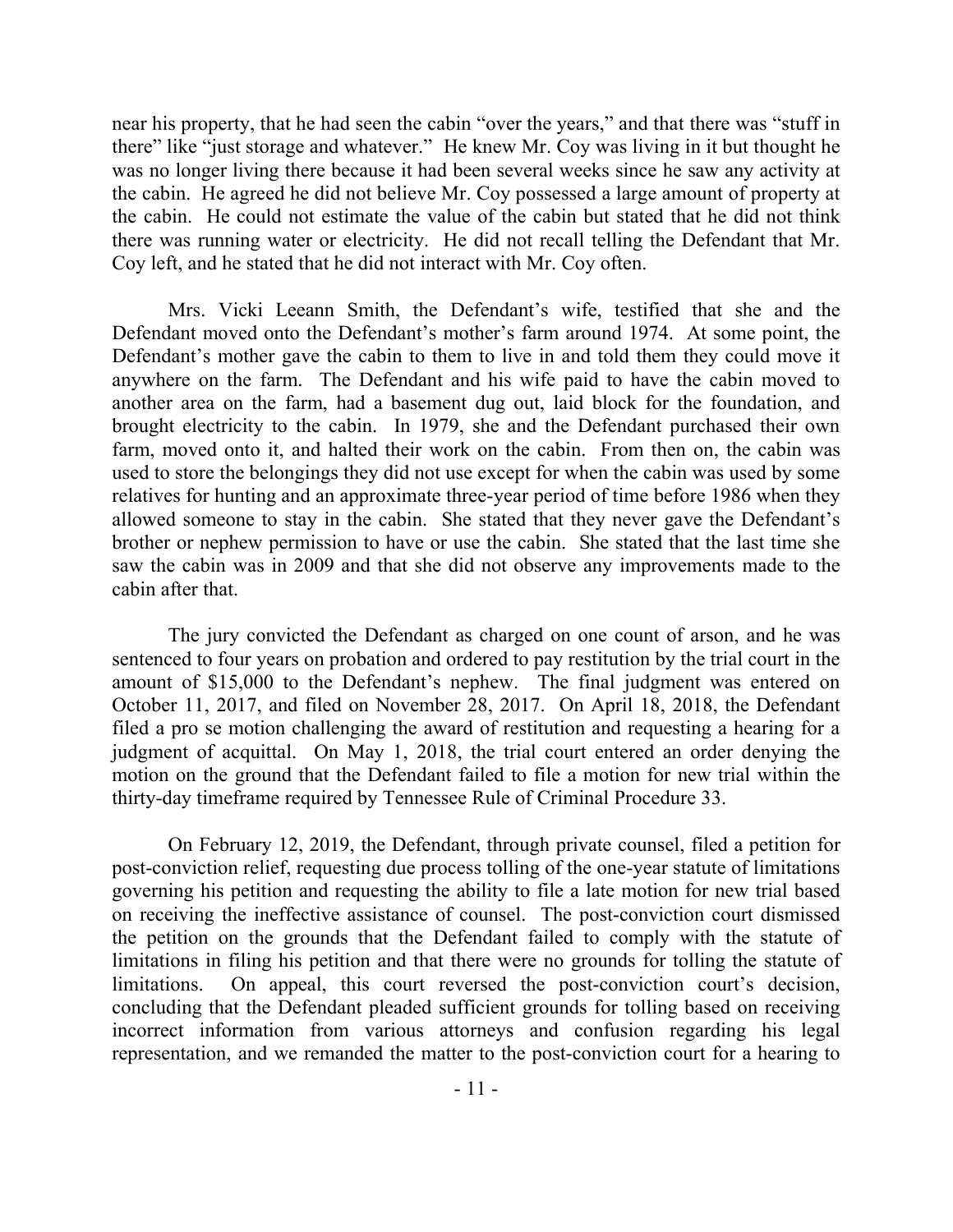near his property, that he had seen the cabin "over the years," and that there was "stuff in there" like "just storage and whatever." He knew Mr. Coy was living in it but thought he was no longer living there because it had been several weeks since he saw any activity at the cabin. He agreed he did not believe Mr. Coy possessed a large amount of property at the cabin. He could not estimate the value of the cabin but stated that he did not think there was running water or electricity. He did not recall telling the Defendant that Mr. Coy left, and he stated that he did not interact with Mr. Coy often.

Mrs. Vicki Leeann Smith, the Defendant's wife, testified that she and the Defendant moved onto the Defendant's mother's farm around 1974. At some point, the Defendant's mother gave the cabin to them to live in and told them they could move it anywhere on the farm. The Defendant and his wife paid to have the cabin moved to another area on the farm, had a basement dug out, laid block for the foundation, and brought electricity to the cabin. In 1979, she and the Defendant purchased their own farm, moved onto it, and halted their work on the cabin. From then on, the cabin was used to store the belongings they did not use except for when the cabin was used by some relatives for hunting and an approximate three-year period of time before 1986 when they allowed someone to stay in the cabin. She stated that they never gave the Defendant's brother or nephew permission to have or use the cabin. She stated that the last time she saw the cabin was in 2009 and that she did not observe any improvements made to the cabin after that.

The jury convicted the Defendant as charged on one count of arson, and he was sentenced to four years on probation and ordered to pay restitution by the trial court in the amount of \$15,000 to the Defendant's nephew. The final judgment was entered on October 11, 2017, and filed on November 28, 2017. On April 18, 2018, the Defendant filed a pro se motion challenging the award of restitution and requesting a hearing for a judgment of acquittal. On May 1, 2018, the trial court entered an order denying the motion on the ground that the Defendant failed to file a motion for new trial within the thirty-day timeframe required by Tennessee Rule of Criminal Procedure 33.

On February 12, 2019, the Defendant, through private counsel, filed a petition for post-conviction relief, requesting due process tolling of the one-year statute of limitations governing his petition and requesting the ability to file a late motion for new trial based on receiving the ineffective assistance of counsel. The post-conviction court dismissed the petition on the grounds that the Defendant failed to comply with the statute of limitations in filing his petition and that there were no grounds for tolling the statute of limitations. On appeal, this court reversed the post-conviction court's decision, concluding that the Defendant pleaded sufficient grounds for tolling based on receiving incorrect information from various attorneys and confusion regarding his legal representation, and we remanded the matter to the post-conviction court for a hearing to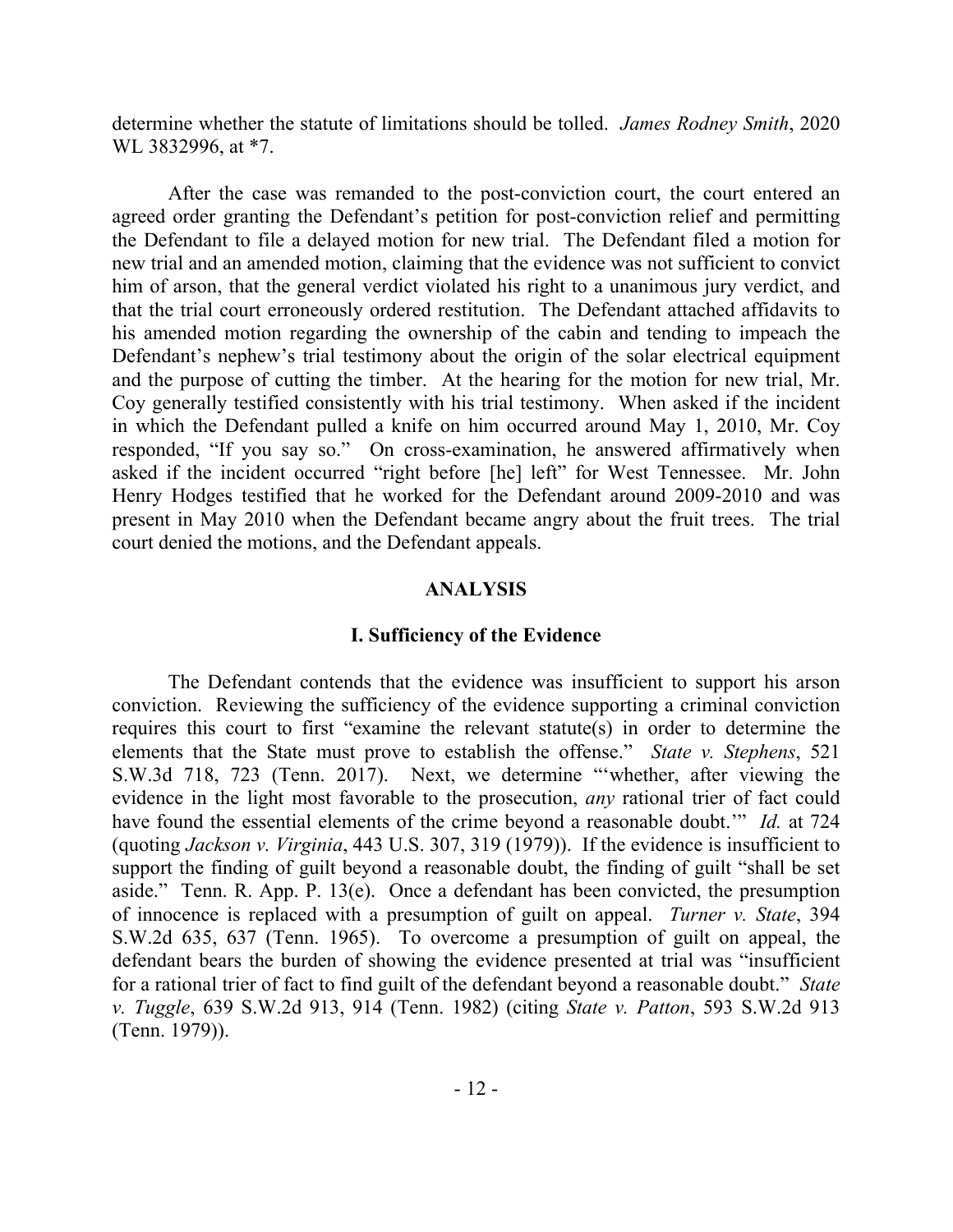determine whether the statute of limitations should be tolled. *James Rodney Smith*, 2020 WL 3832996, at \*7.

After the case was remanded to the post-conviction court, the court entered an agreed order granting the Defendant's petition for post-conviction relief and permitting the Defendant to file a delayed motion for new trial. The Defendant filed a motion for new trial and an amended motion, claiming that the evidence was not sufficient to convict him of arson, that the general verdict violated his right to a unanimous jury verdict, and that the trial court erroneously ordered restitution. The Defendant attached affidavits to his amended motion regarding the ownership of the cabin and tending to impeach the Defendant's nephew's trial testimony about the origin of the solar electrical equipment and the purpose of cutting the timber. At the hearing for the motion for new trial, Mr. Coy generally testified consistently with his trial testimony. When asked if the incident in which the Defendant pulled a knife on him occurred around May 1, 2010, Mr. Coy responded, "If you say so." On cross-examination, he answered affirmatively when asked if the incident occurred "right before [he] left" for West Tennessee. Mr. John Henry Hodges testified that he worked for the Defendant around 2009-2010 and was present in May 2010 when the Defendant became angry about the fruit trees. The trial court denied the motions, and the Defendant appeals.

### **ANALYSIS**

### **I. Sufficiency of the Evidence**

The Defendant contends that the evidence was insufficient to support his arson conviction. Reviewing the sufficiency of the evidence supporting a criminal conviction requires this court to first "examine the relevant statute(s) in order to determine the elements that the State must prove to establish the offense." *State v. Stephens*, 521 S.W.3d 718, 723 (Tenn. 2017). Next, we determine "'whether, after viewing the evidence in the light most favorable to the prosecution, *any* rational trier of fact could have found the essential elements of the crime beyond a reasonable doubt.'" *Id.* at 724 (quoting *Jackson v. Virginia*, 443 U.S. 307, 319 (1979)). If the evidence is insufficient to support the finding of guilt beyond a reasonable doubt, the finding of guilt "shall be set aside." Tenn. R. App. P. 13(e). Once a defendant has been convicted, the presumption of innocence is replaced with a presumption of guilt on appeal. *Turner v. State*, 394 S.W.2d 635, 637 (Tenn. 1965). To overcome a presumption of guilt on appeal, the defendant bears the burden of showing the evidence presented at trial was "insufficient for a rational trier of fact to find guilt of the defendant beyond a reasonable doubt." *State v. Tuggle*, 639 S.W.2d 913, 914 (Tenn. 1982) (citing *State v. Patton*, 593 S.W.2d 913 (Tenn. 1979)).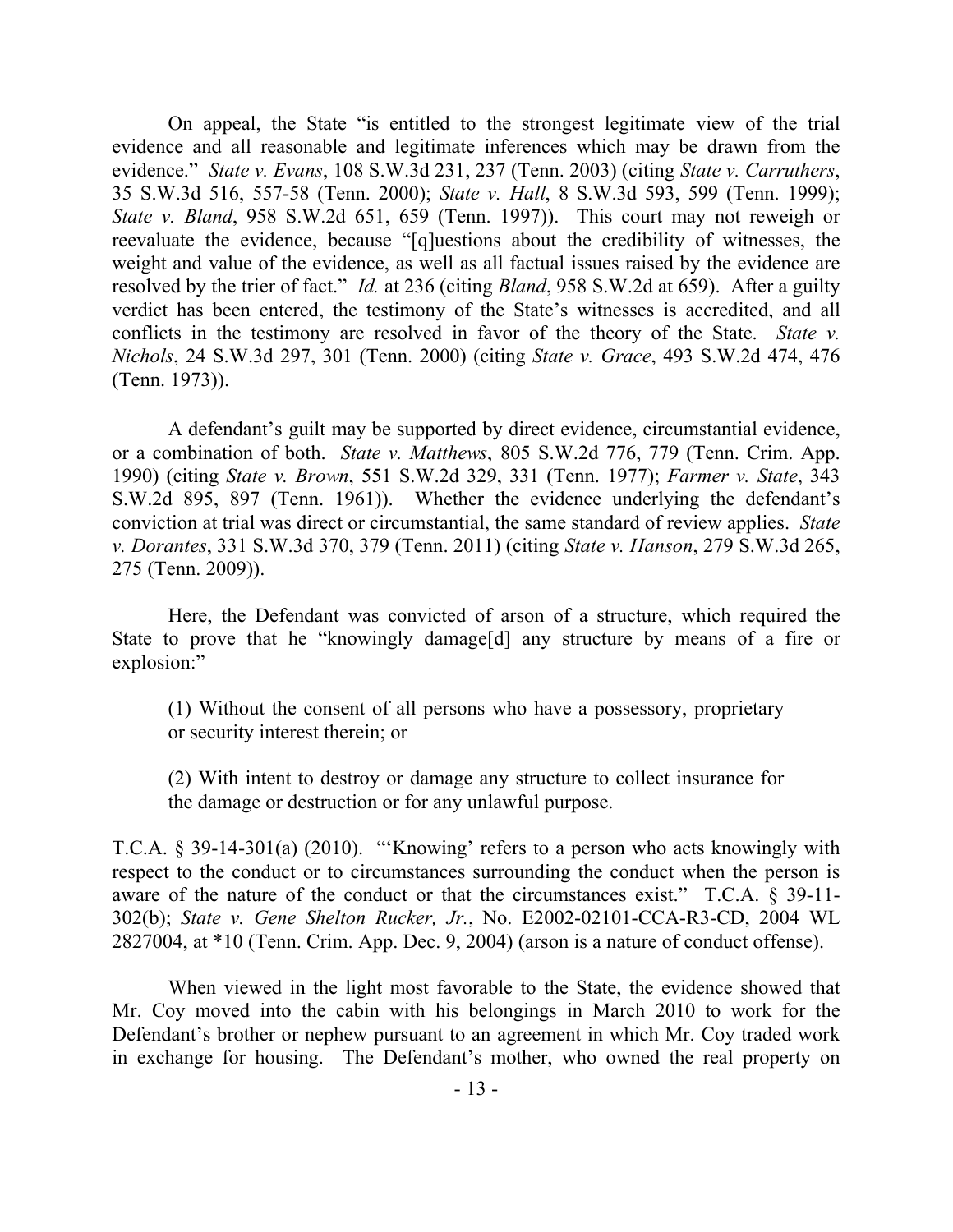On appeal, the State "is entitled to the strongest legitimate view of the trial evidence and all reasonable and legitimate inferences which may be drawn from the evidence." *State v. Evans*, 108 S.W.3d 231, 237 (Tenn. 2003) (citing *State v. Carruthers*, 35 S.W.3d 516, 557-58 (Tenn. 2000); *State v. Hall*, 8 S.W.3d 593, 599 (Tenn. 1999); *State v. Bland*, 958 S.W.2d 651, 659 (Tenn. 1997)). This court may not reweigh or reevaluate the evidence, because "[q]uestions about the credibility of witnesses, the weight and value of the evidence, as well as all factual issues raised by the evidence are resolved by the trier of fact." *Id.* at 236 (citing *Bland*, 958 S.W.2d at 659). After a guilty verdict has been entered, the testimony of the State's witnesses is accredited, and all conflicts in the testimony are resolved in favor of the theory of the State. *State v. Nichols*, 24 S.W.3d 297, 301 (Tenn. 2000) (citing *State v. Grace*, 493 S.W.2d 474, 476 (Tenn. 1973)).

A defendant's guilt may be supported by direct evidence, circumstantial evidence, or a combination of both. *State v. Matthews*, 805 S.W.2d 776, 779 (Tenn. Crim. App. 1990) (citing *State v. Brown*, 551 S.W.2d 329, 331 (Tenn. 1977); *Farmer v. State*, 343 S.W.2d 895, 897 (Tenn. 1961)). Whether the evidence underlying the defendant's conviction at trial was direct or circumstantial, the same standard of review applies. *State v. Dorantes*, 331 S.W.3d 370, 379 (Tenn. 2011) (citing *State v. Hanson*, 279 S.W.3d 265, 275 (Tenn. 2009)).

Here, the Defendant was convicted of arson of a structure, which required the State to prove that he "knowingly damage[d] any structure by means of a fire or explosion:"

(1) Without the consent of all persons who have a possessory, proprietary or security interest therein; or

(2) With intent to destroy or damage any structure to collect insurance for the damage or destruction or for any unlawful purpose.

T.C.A. § 39-14-301(a) (2010). "'Knowing' refers to a person who acts knowingly with respect to the conduct or to circumstances surrounding the conduct when the person is aware of the nature of the conduct or that the circumstances exist." T.C.A. § 39-11- 302(b); *State v. Gene Shelton Rucker, Jr.*, No. E2002-02101-CCA-R3-CD, 2004 WL 2827004, at \*10 (Tenn. Crim. App. Dec. 9, 2004) (arson is a nature of conduct offense).

When viewed in the light most favorable to the State, the evidence showed that Mr. Coy moved into the cabin with his belongings in March 2010 to work for the Defendant's brother or nephew pursuant to an agreement in which Mr. Coy traded work in exchange for housing. The Defendant's mother, who owned the real property on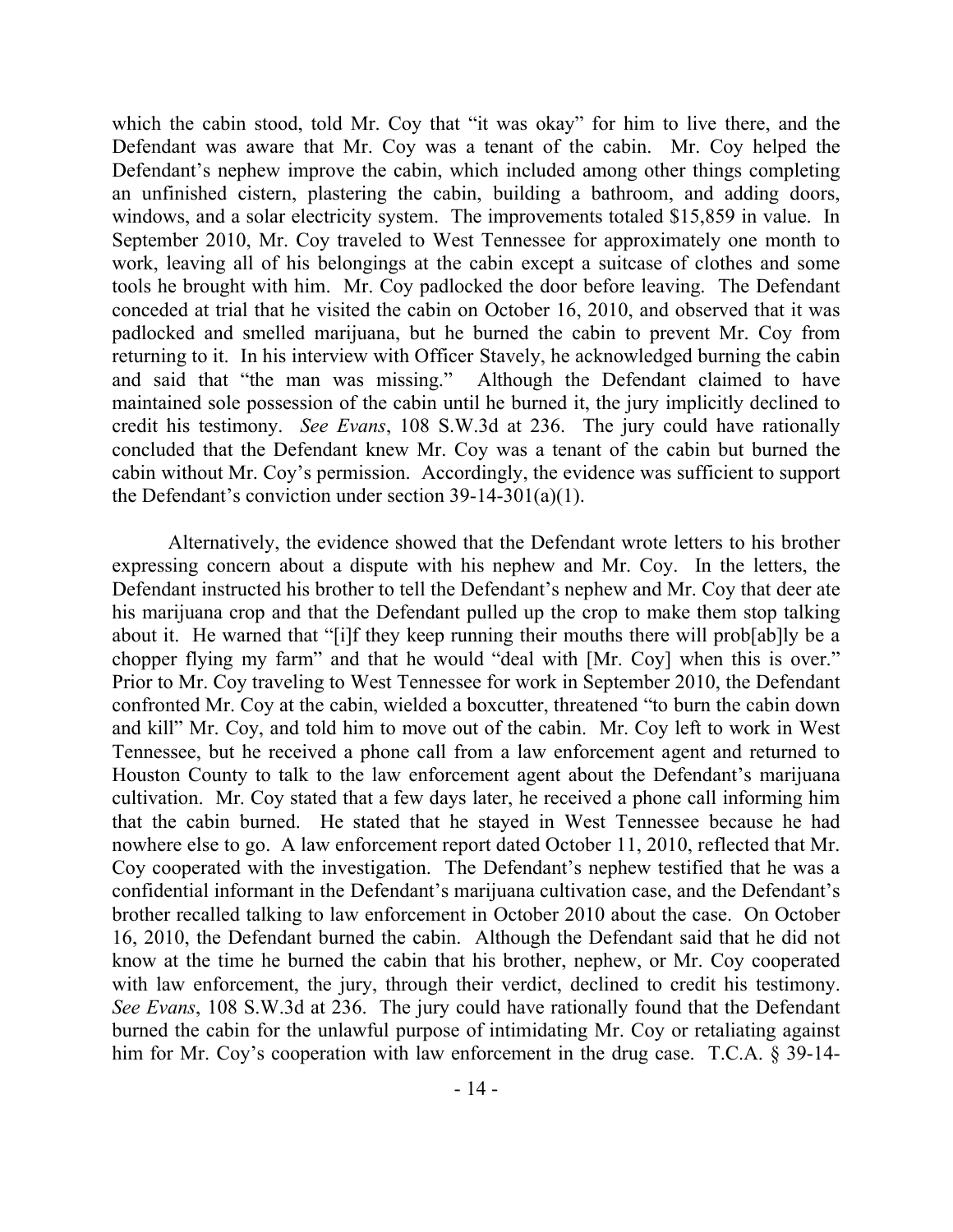which the cabin stood, told Mr. Coy that "it was okay" for him to live there, and the Defendant was aware that Mr. Coy was a tenant of the cabin. Mr. Coy helped the Defendant's nephew improve the cabin, which included among other things completing an unfinished cistern, plastering the cabin, building a bathroom, and adding doors, windows, and a solar electricity system. The improvements totaled \$15,859 in value. In September 2010, Mr. Coy traveled to West Tennessee for approximately one month to work, leaving all of his belongings at the cabin except a suitcase of clothes and some tools he brought with him. Mr. Coy padlocked the door before leaving. The Defendant conceded at trial that he visited the cabin on October 16, 2010, and observed that it was padlocked and smelled marijuana, but he burned the cabin to prevent Mr. Coy from returning to it. In his interview with Officer Stavely, he acknowledged burning the cabin and said that "the man was missing." Although the Defendant claimed to have maintained sole possession of the cabin until he burned it, the jury implicitly declined to credit his testimony. *See Evans*, 108 S.W.3d at 236. The jury could have rationally concluded that the Defendant knew Mr. Coy was a tenant of the cabin but burned the cabin without Mr. Coy's permission. Accordingly, the evidence was sufficient to support the Defendant's conviction under section  $39-14-301(a)(1)$ .

Alternatively, the evidence showed that the Defendant wrote letters to his brother expressing concern about a dispute with his nephew and Mr. Coy. In the letters, the Defendant instructed his brother to tell the Defendant's nephew and Mr. Coy that deer ate his marijuana crop and that the Defendant pulled up the crop to make them stop talking about it. He warned that "[i]f they keep running their mouths there will prob[ab]ly be a chopper flying my farm" and that he would "deal with [Mr. Coy] when this is over." Prior to Mr. Coy traveling to West Tennessee for work in September 2010, the Defendant confronted Mr. Coy at the cabin, wielded a boxcutter, threatened "to burn the cabin down and kill" Mr. Coy, and told him to move out of the cabin. Mr. Coy left to work in West Tennessee, but he received a phone call from a law enforcement agent and returned to Houston County to talk to the law enforcement agent about the Defendant's marijuana cultivation. Mr. Coy stated that a few days later, he received a phone call informing him that the cabin burned. He stated that he stayed in West Tennessee because he had nowhere else to go. A law enforcement report dated October 11, 2010, reflected that Mr. Coy cooperated with the investigation. The Defendant's nephew testified that he was a confidential informant in the Defendant's marijuana cultivation case, and the Defendant's brother recalled talking to law enforcement in October 2010 about the case. On October 16, 2010, the Defendant burned the cabin. Although the Defendant said that he did not know at the time he burned the cabin that his brother, nephew, or Mr. Coy cooperated with law enforcement, the jury, through their verdict, declined to credit his testimony. *See Evans*, 108 S.W.3d at 236. The jury could have rationally found that the Defendant burned the cabin for the unlawful purpose of intimidating Mr. Coy or retaliating against him for Mr. Coy's cooperation with law enforcement in the drug case. T.C.A.  $\S 39-14-$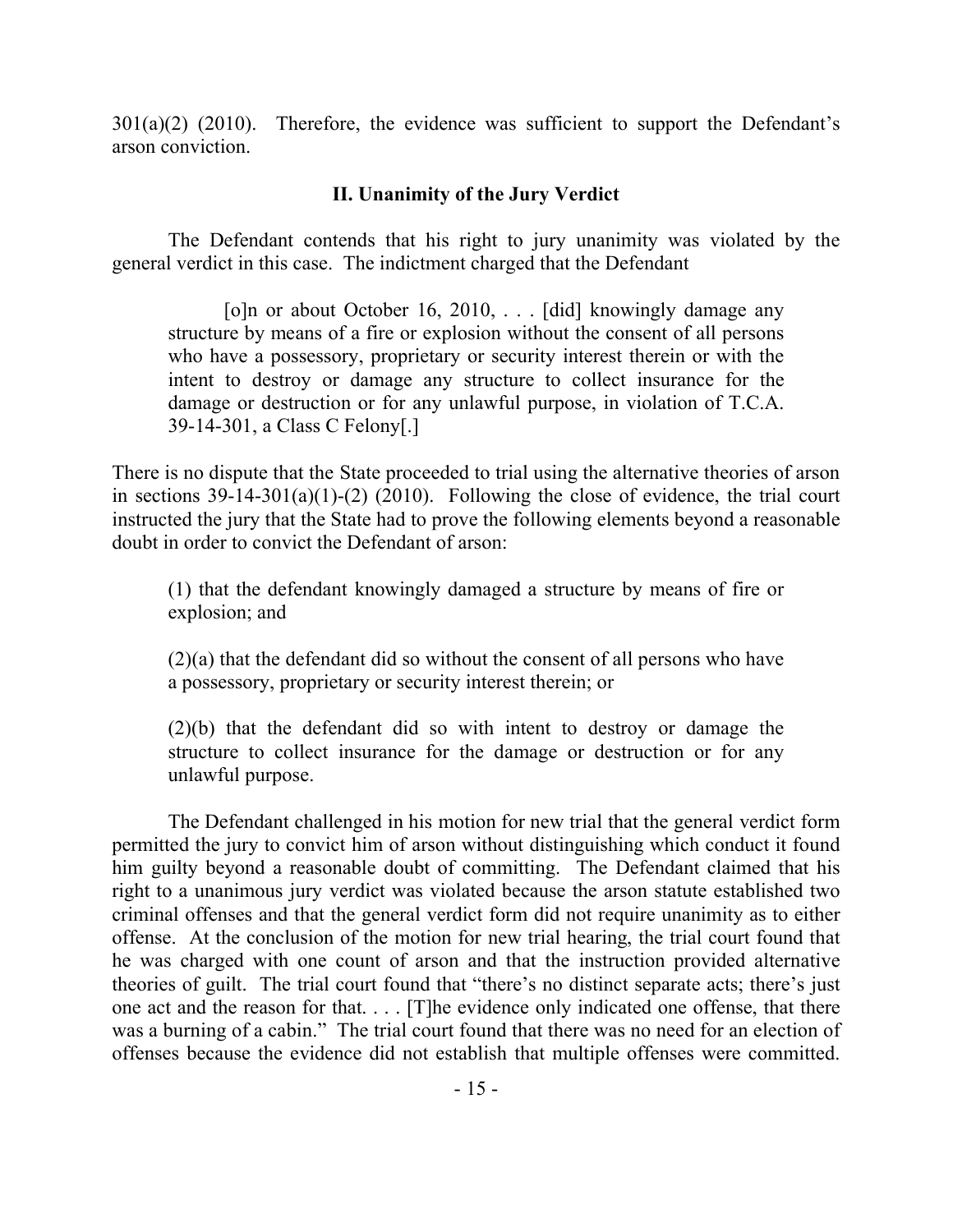$301(a)(2)$  (2010). Therefore, the evidence was sufficient to support the Defendant's arson conviction.

# **II. Unanimity of the Jury Verdict**

The Defendant contends that his right to jury unanimity was violated by the general verdict in this case. The indictment charged that the Defendant

[o]n or about October 16, 2010, . . . [did] knowingly damage any structure by means of a fire or explosion without the consent of all persons who have a possessory, proprietary or security interest therein or with the intent to destroy or damage any structure to collect insurance for the damage or destruction or for any unlawful purpose, in violation of T.C.A. 39-14-301, a Class C Felony[.]

There is no dispute that the State proceeded to trial using the alternative theories of arson in sections  $39-14-301(a)(1)-(2)$  (2010). Following the close of evidence, the trial court instructed the jury that the State had to prove the following elements beyond a reasonable doubt in order to convict the Defendant of arson:

(1) that the defendant knowingly damaged a structure by means of fire or explosion; and

(2)(a) that the defendant did so without the consent of all persons who have a possessory, proprietary or security interest therein; or

(2)(b) that the defendant did so with intent to destroy or damage the structure to collect insurance for the damage or destruction or for any unlawful purpose.

The Defendant challenged in his motion for new trial that the general verdict form permitted the jury to convict him of arson without distinguishing which conduct it found him guilty beyond a reasonable doubt of committing. The Defendant claimed that his right to a unanimous jury verdict was violated because the arson statute established two criminal offenses and that the general verdict form did not require unanimity as to either offense. At the conclusion of the motion for new trial hearing, the trial court found that he was charged with one count of arson and that the instruction provided alternative theories of guilt. The trial court found that "there's no distinct separate acts; there's just one act and the reason for that. . . . [T]he evidence only indicated one offense, that there was a burning of a cabin." The trial court found that there was no need for an election of offenses because the evidence did not establish that multiple offenses were committed.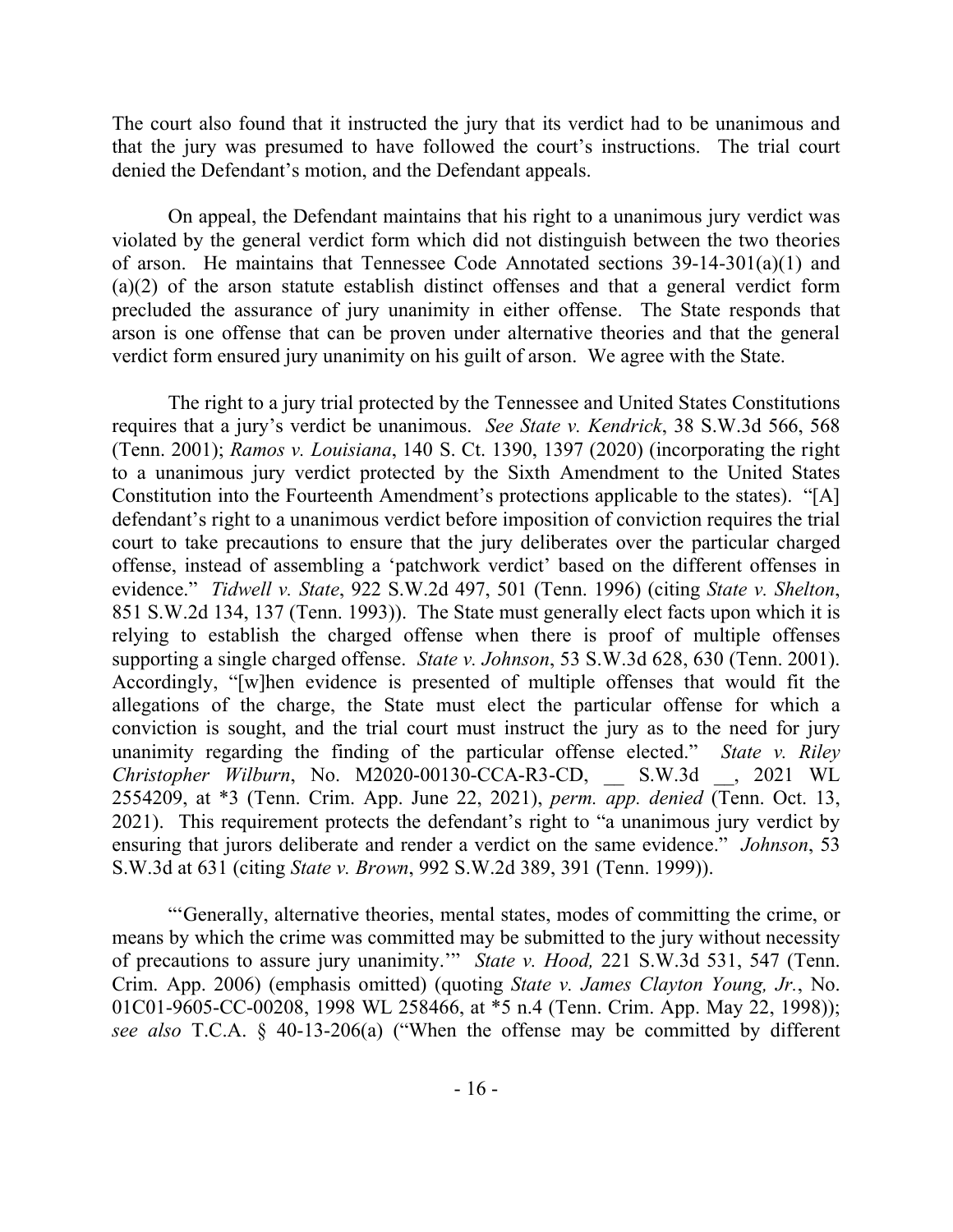The court also found that it instructed the jury that its verdict had to be unanimous and that the jury was presumed to have followed the court's instructions. The trial court denied the Defendant's motion, and the Defendant appeals.

On appeal, the Defendant maintains that his right to a unanimous jury verdict was violated by the general verdict form which did not distinguish between the two theories of arson. He maintains that Tennessee Code Annotated sections 39-14-301(a)(1) and (a)(2) of the arson statute establish distinct offenses and that a general verdict form precluded the assurance of jury unanimity in either offense. The State responds that arson is one offense that can be proven under alternative theories and that the general verdict form ensured jury unanimity on his guilt of arson. We agree with the State.

The right to a jury trial protected by the Tennessee and United States Constitutions requires that a jury's verdict be unanimous. *See State v. Kendrick*, 38 S.W.3d 566, 568 (Tenn. 2001); *Ramos v. Louisiana*, 140 S. Ct. 1390, 1397 (2020) (incorporating the right to a unanimous jury verdict protected by the Sixth Amendment to the United States Constitution into the Fourteenth Amendment's protections applicable to the states). "[A] defendant's right to a unanimous verdict before imposition of conviction requires the trial court to take precautions to ensure that the jury deliberates over the particular charged offense, instead of assembling a 'patchwork verdict' based on the different offenses in evidence." *Tidwell v. State*, 922 S.W.2d 497, 501 (Tenn. 1996) (citing *State v. Shelton*, 851 S.W.2d 134, 137 (Tenn. 1993)). The State must generally elect facts upon which it is relying to establish the charged offense when there is proof of multiple offenses supporting a single charged offense. *State v. Johnson*, 53 S.W.3d 628, 630 (Tenn. 2001). Accordingly, "[w]hen evidence is presented of multiple offenses that would fit the allegations of the charge, the State must elect the particular offense for which a conviction is sought, and the trial court must instruct the jury as to the need for jury unanimity regarding the finding of the particular offense elected." *State v. Riley Christopher Wilburn*, No. M2020-00130-CCA-R3-CD, \_\_ S.W.3d \_\_, 2021 WL 2554209, at \*3 (Tenn. Crim. App. June 22, 2021), *perm. app. denied* (Tenn. Oct. 13, 2021). This requirement protects the defendant's right to "a unanimous jury verdict by ensuring that jurors deliberate and render a verdict on the same evidence." *Johnson*, 53 S.W.3d at 631 (citing *State v. Brown*, 992 S.W.2d 389, 391 (Tenn. 1999)).

"'Generally, alternative theories, mental states, modes of committing the crime, or means by which the crime was committed may be submitted to the jury without necessity of precautions to assure jury unanimity.'" *State v. Hood,* 221 S.W.3d 531, 547 (Tenn. Crim. App. 2006) (emphasis omitted) (quoting *State v. James Clayton Young, Jr.*, No. 01C01-9605-CC-00208, 1998 WL 258466, at \*5 n.4 (Tenn. Crim. App. May 22, 1998)); *see also* T.C.A. § 40-13-206(a) ("When the offense may be committed by different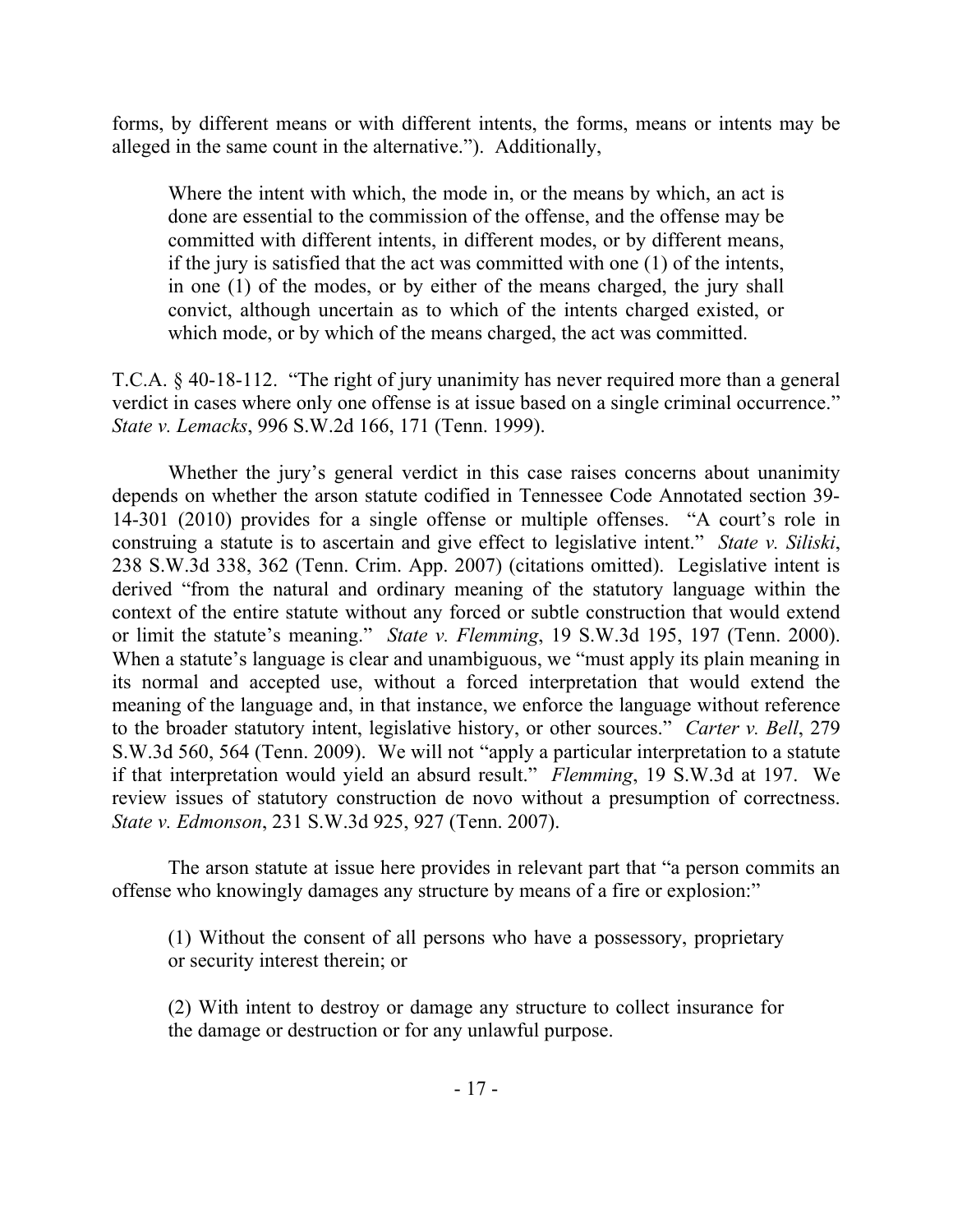forms, by different means or with different intents, the forms, means or intents may be alleged in the same count in the alternative."). Additionally,

Where the intent with which, the mode in, or the means by which, an act is done are essential to the commission of the offense, and the offense may be committed with different intents, in different modes, or by different means, if the jury is satisfied that the act was committed with one (1) of the intents, in one (1) of the modes, or by either of the means charged, the jury shall convict, although uncertain as to which of the intents charged existed, or which mode, or by which of the means charged, the act was committed.

T.C.A. § 40-18-112. "The right of jury unanimity has never required more than a general verdict in cases where only one offense is at issue based on a single criminal occurrence." *State v. Lemacks*, 996 S.W.2d 166, 171 (Tenn. 1999).

Whether the jury's general verdict in this case raises concerns about unanimity depends on whether the arson statute codified in Tennessee Code Annotated section 39- 14-301 (2010) provides for a single offense or multiple offenses. "A court's role in construing a statute is to ascertain and give effect to legislative intent." *State v. Siliski*, 238 S.W.3d 338, 362 (Tenn. Crim. App. 2007) (citations omitted). Legislative intent is derived "from the natural and ordinary meaning of the statutory language within the context of the entire statute without any forced or subtle construction that would extend or limit the statute's meaning." *State v. Flemming*, 19 S.W.3d 195, 197 (Tenn. 2000). When a statute's language is clear and unambiguous, we "must apply its plain meaning in its normal and accepted use, without a forced interpretation that would extend the meaning of the language and, in that instance, we enforce the language without reference to the broader statutory intent, legislative history, or other sources." *Carter v. Bell*, 279 S.W.3d 560, 564 (Tenn. 2009). We will not "apply a particular interpretation to a statute if that interpretation would yield an absurd result." *Flemming*, 19 S.W.3d at 197. We review issues of statutory construction de novo without a presumption of correctness. *State v. Edmonson*, 231 S.W.3d 925, 927 (Tenn. 2007).

The arson statute at issue here provides in relevant part that "a person commits an offense who knowingly damages any structure by means of a fire or explosion:"

(1) Without the consent of all persons who have a possessory, proprietary or security interest therein; or

(2) With intent to destroy or damage any structure to collect insurance for the damage or destruction or for any unlawful purpose.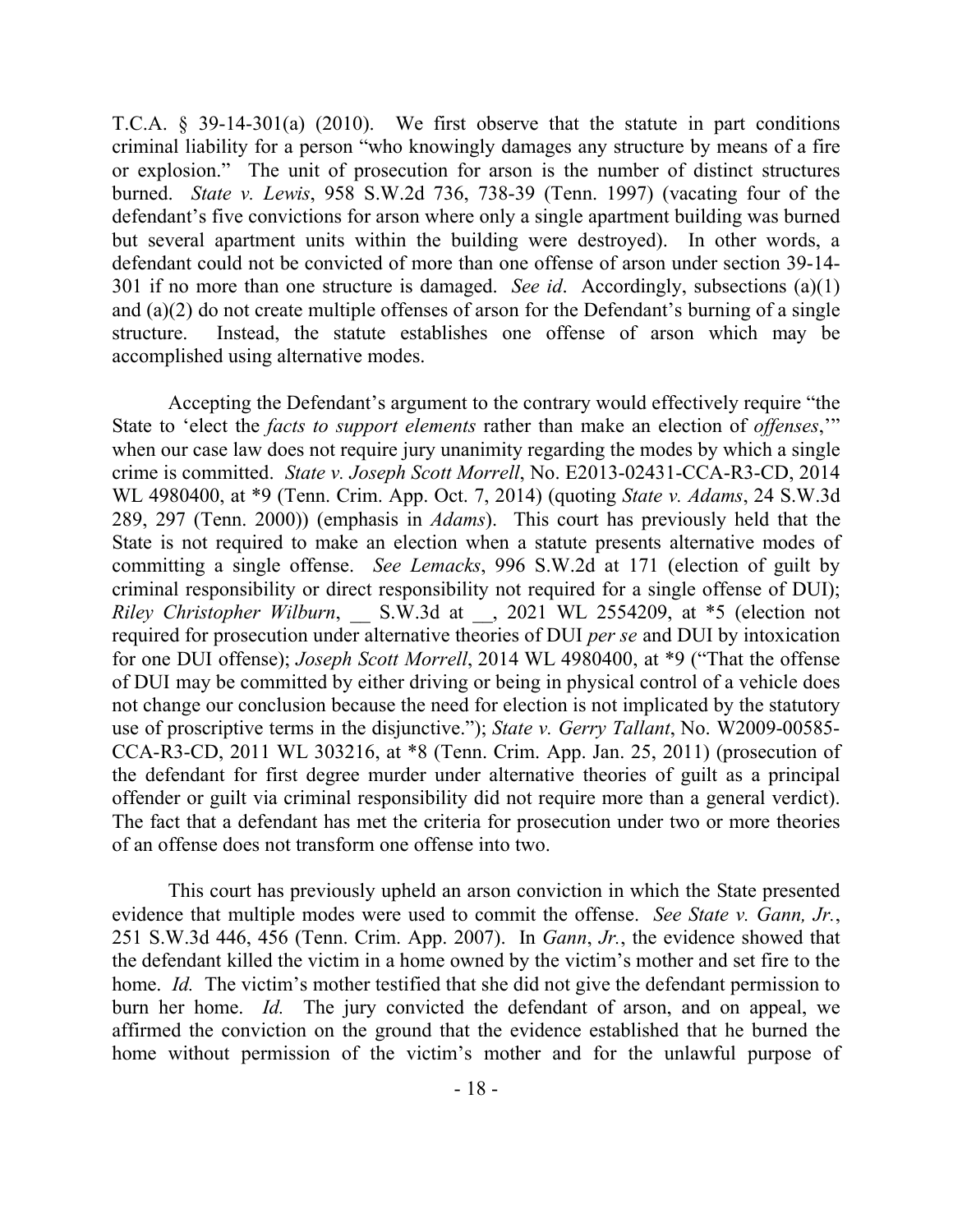T.C.A. § 39-14-301(a) (2010). We first observe that the statute in part conditions criminal liability for a person "who knowingly damages any structure by means of a fire or explosion." The unit of prosecution for arson is the number of distinct structures burned. *State v. Lewis*, 958 S.W.2d 736, 738-39 (Tenn. 1997) (vacating four of the defendant's five convictions for arson where only a single apartment building was burned but several apartment units within the building were destroyed). In other words, a defendant could not be convicted of more than one offense of arson under section 39-14- 301 if no more than one structure is damaged. *See id*. Accordingly, subsections (a)(1) and (a)(2) do not create multiple offenses of arson for the Defendant's burning of a single structure. Instead, the statute establishes one offense of arson which may be accomplished using alternative modes.

Accepting the Defendant's argument to the contrary would effectively require "the State to 'elect the *facts to support elements* rather than make an election of *offenses*,'" when our case law does not require jury unanimity regarding the modes by which a single crime is committed. *State v. Joseph Scott Morrell*, No. E2013-02431-CCA-R3-CD, 2014 WL 4980400, at \*9 (Tenn. Crim. App. Oct. 7, 2014) (quoting *State v. Adams*, 24 S.W.3d 289, 297 (Tenn. 2000)) (emphasis in *Adams*). This court has previously held that the State is not required to make an election when a statute presents alternative modes of committing a single offense. *See Lemacks*, 996 S.W.2d at 171 (election of guilt by criminal responsibility or direct responsibility not required for a single offense of DUI); *Riley Christopher Wilburn*, S.W.3d at , 2021 WL 2554209, at \*5 (election not required for prosecution under alternative theories of DUI *per se* and DUI by intoxication for one DUI offense); *Joseph Scott Morrell*, 2014 WL 4980400, at \*9 ("That the offense of DUI may be committed by either driving or being in physical control of a vehicle does not change our conclusion because the need for election is not implicated by the statutory use of proscriptive terms in the disjunctive."); *State v. Gerry Tallant*, No. W2009-00585- CCA-R3-CD, 2011 WL 303216, at \*8 (Tenn. Crim. App. Jan. 25, 2011) (prosecution of the defendant for first degree murder under alternative theories of guilt as a principal offender or guilt via criminal responsibility did not require more than a general verdict). The fact that a defendant has met the criteria for prosecution under two or more theories of an offense does not transform one offense into two.

This court has previously upheld an arson conviction in which the State presented evidence that multiple modes were used to commit the offense. *See State v. Gann, Jr.*, 251 S.W.3d 446, 456 (Tenn. Crim. App. 2007). In *Gann*, *Jr.*, the evidence showed that the defendant killed the victim in a home owned by the victim's mother and set fire to the home. *Id.* The victim's mother testified that she did not give the defendant permission to burn her home. *Id.* The jury convicted the defendant of arson, and on appeal, we affirmed the conviction on the ground that the evidence established that he burned the home without permission of the victim's mother and for the unlawful purpose of